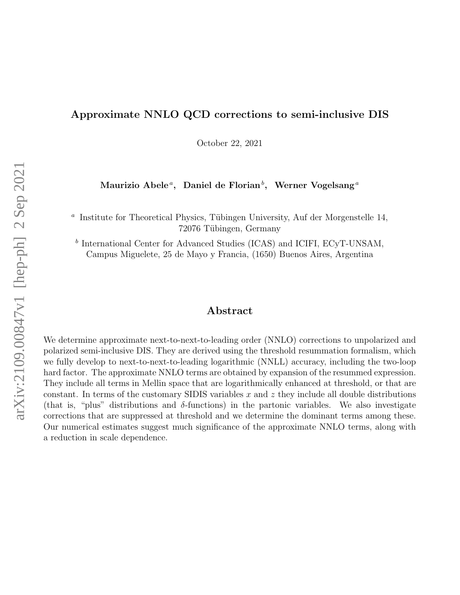## Approximate NNLO QCD corrections to semi-inclusive DIS

October 22, 2021

Maurizio Abele ${}^a,\;$  Daniel de Florian ${}^b,\;$  Werner Vogelsang ${}^a$ 

<sup>a</sup> Institute for Theoretical Physics, Tübingen University, Auf der Morgenstelle 14, 72076 Tübingen, Germany

<sup>b</sup> International Center for Advanced Studies (ICAS) and ICIFI, ECyT-UNSAM, Campus Miguelete, 25 de Mayo y Francia, (1650) Buenos Aires, Argentina

#### Abstract

We determine approximate next-to-next-to-leading order (NNLO) corrections to unpolarized and polarized semi-inclusive DIS. They are derived using the threshold resummation formalism, which we fully develop to next-to-next-to-leading logarithmic (NNLL) accuracy, including the two-loop hard factor. The approximate NNLO terms are obtained by expansion of the resummed expression. They include all terms in Mellin space that are logarithmically enhanced at threshold, or that are constant. In terms of the customary SIDIS variables  $x$  and  $z$  they include all double distributions (that is, "plus" distributions and δ-functions) in the partonic variables. We also investigate corrections that are suppressed at threshold and we determine the dominant terms among these. Our numerical estimates suggest much significance of the approximate NNLO terms, along with a reduction in scale dependence.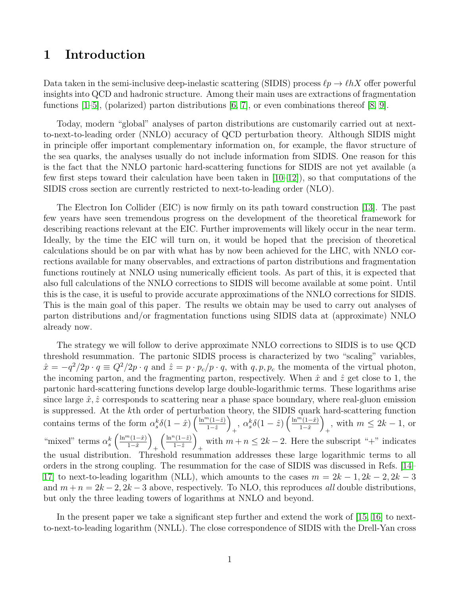# 1 Introduction

Data taken in the semi-inclusive deep-inelastic scattering (SIDIS) process  $\ell p \to \ell h X$  offer powerful insights into QCD and hadronic structure. Among their main uses are extractions of fragmentation functions  $[1–5]$  $[1–5]$ , (polarized) parton distributions  $[6, 7]$  $[6, 7]$ , or even combinations thereof  $[8, 9]$  $[8, 9]$ .

Today, modern "global" analyses of parton distributions are customarily carried out at nextto-next-to-leading order (NNLO) accuracy of QCD perturbation theory. Although SIDIS might in principle offer important complementary information on, for example, the flavor structure of the sea quarks, the analyses usually do not include information from SIDIS. One reason for this is the fact that the NNLO partonic hard-scattering functions for SIDIS are not yet available (a few first steps toward their calculation have been taken in  $[10-12]$  $[10-12]$ , so that computations of the SIDIS cross section are currently restricted to next-to-leading order (NLO).

The Electron Ion Collider (EIC) is now firmly on its path toward construction [\[13\]](#page-24-8). The past few years have seen tremendous progress on the development of the theoretical framework for describing reactions relevant at the EIC. Further improvements will likely occur in the near term. Ideally, by the time the EIC will turn on, it would be hoped that the precision of theoretical calculations should be on par with what has by now been achieved for the LHC, with NNLO corrections available for many observables, and extractions of parton distributions and fragmentation functions routinely at NNLO using numerically efficient tools. As part of this, it is expected that also full calculations of the NNLO corrections to SIDIS will become available at some point. Until this is the case, it is useful to provide accurate approximations of the NNLO corrections for SIDIS. This is the main goal of this paper. The results we obtain may be used to carry out analyses of parton distributions and/or fragmentation functions using SIDIS data at (approximate) NNLO already now.

The strategy we will follow to derive approximate NNLO corrections to SIDIS is to use QCD threshold resummation. The partonic SIDIS process is characterized by two "scaling" variables,  $\hat{x} = -q^2/2p \cdot q \equiv Q^2/2p \cdot q$  and  $\hat{z} = p \cdot p_c/p \cdot q$ , with  $q, p, p_c$  the momenta of the virtual photon, the incoming parton, and the fragmenting parton, respectively. When  $\hat{x}$  and  $\hat{z}$  get close to 1, the partonic hard-scattering functions develop large double-logarithmic terms. These logarithms arise since large  $\hat{x}, \hat{z}$  corresponds to scattering near a phase space boundary, where real-gluon emission is suppressed. At the kth order of perturbation theory, the SIDIS quark hard-scattering function contains terms of the form  $\alpha_s^k \delta(1-\hat{x}) \left( \frac{\ln^m(1-\hat{z})}{1-\hat{z}} \right)$  $1-\hat{z}$  $\setminus$  $\int_0^{\pi} \frac{\alpha_s^k \delta(1-\hat{z}) \left( \frac{\ln^m(1-\hat{x})}{1-\hat{x}} \right)}$  $1-\hat{x}$  $\setminus$ <sup>+</sup>, with  $m ≤ 2k - 1$ , or "mixed" terms  $\alpha_s^k\left(\frac{\ln^m(1-\hat{x})}{1-\hat{x}}\right)$  $1-\hat{x}$  $\setminus$  $^{+}$  $\int \frac{\ln^n(1-\hat{z})}{\hat{z}}$  $1-\hat{z}$  $\setminus$ with  $m + n \leq 2k - 2$ . Here the subscript "+" indicates the usual distribution. Threshold resummation addresses these large logarithmic terms to all orders in the strong coupling. The resummation for the case of SIDIS was discussed in Refs. [\[14–](#page-24-9) [17\]](#page-24-10) to next-to-leading logarithm (NLL), which amounts to the cases  $m = 2k - 1, 2k - 2, 2k - 3$ and  $m + n = 2k - 2$ ,  $2k - 3$  above, respectively. To NLO, this reproduces all double distributions, but only the three leading towers of logarithms at NNLO and beyond.

In the present paper we take a significant step further and extend the work of [\[15,](#page-24-11) [16\]](#page-24-12) to nextto-next-to-leading logarithm (NNLL). The close correspondence of SIDIS with the Drell-Yan cross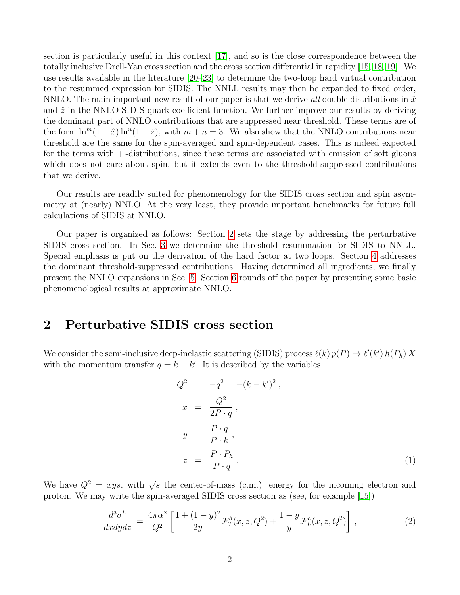section is particularly useful in this context [\[17\]](#page-24-10), and so is the close correspondence between the totally inclusive Drell-Yan cross section and the cross section differential in rapidity [\[15,](#page-24-11) [18,](#page-25-0) [19\]](#page-25-1). We use results available in the literature [\[20–](#page-25-2)[23\]](#page-25-3) to determine the two-loop hard virtual contribution to the resummed expression for SIDIS. The NNLL results may then be expanded to fixed order, NNLO. The main important new result of our paper is that we derive all double distributions in  $\hat{x}$ and  $\hat{z}$  in the NNLO SIDIS quark coefficient function. We further improve our results by deriving the dominant part of NNLO contributions that are suppressed near threshold. These terms are of the form  $\ln^{m}(1-\hat{x}) \ln^{n}(1-\hat{z})$ , with  $m+n=3$ . We also show that the NNLO contributions near threshold are the same for the spin-averaged and spin-dependent cases. This is indeed expected for the terms with + -distributions, since these terms are associated with emission of soft gluons which does not care about spin, but it extends even to the threshold-suppressed contributions that we derive.

Our results are readily suited for phenomenology for the SIDIS cross section and spin asymmetry at (nearly) NNLO. At the very least, they provide important benchmarks for future full calculations of SIDIS at NNLO.

Our paper is organized as follows: Section [2](#page-2-0) sets the stage by addressing the perturbative SIDIS cross section. In Sec. [3](#page-4-0) we determine the threshold resummation for SIDIS to NNLL. Special emphasis is put on the derivation of the hard factor at two loops. Section [4](#page-9-0) addresses the dominant threshold-suppressed contributions. Having determined all ingredients, we finally present the NNLO expansions in Sec. [5.](#page-12-0) Section [6](#page-15-0) rounds off the paper by presenting some basic phenomenological results at approximate NNLO.

### <span id="page-2-0"></span>2 Perturbative SIDIS cross section

We consider the semi-inclusive deep-inelastic scattering (SIDIS) process  $\ell(k) p(P) \to \ell'(k') h(P_h) X$ with the momentum transfer  $q = k - k'$ . It is described by the variables

<span id="page-2-1"></span>
$$
Q^{2} = -q^{2} = -(k - k')^{2},
$$
  
\n
$$
x = \frac{Q^{2}}{2P \cdot q},
$$
  
\n
$$
y = \frac{P \cdot q}{P \cdot k},
$$
  
\n
$$
z = \frac{P \cdot P_{h}}{P \cdot q}.
$$
  
\n(1)

We have  $Q^2 = xyz$ , with  $\sqrt{s}$  the center-of-mass (c.m.) energy for the incoming electron and proton. We may write the spin-averaged SIDIS cross section as (see, for example [\[15\]](#page-24-11))

<span id="page-2-2"></span>
$$
\frac{d^3\sigma^h}{dxdydz} = \frac{4\pi\alpha^2}{Q^2} \left[ \frac{1 + (1 - y)^2}{2y} \mathcal{F}_T^h(x, z, Q^2) + \frac{1 - y}{y} \mathcal{F}_L^h(x, z, Q^2) \right],\tag{2}
$$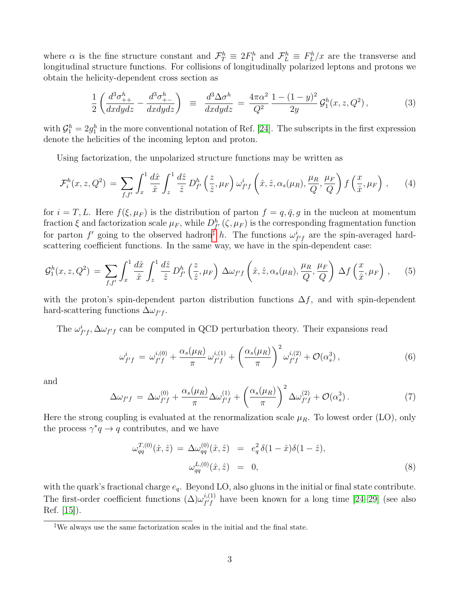where  $\alpha$  is the fine structure constant and  $\mathcal{F}_T^h \equiv 2F_1^h$  and  $\mathcal{F}_L^h \equiv F_L^h/x$  are the transverse and longitudinal structure functions. For collisions of longitudinally polarized leptons and protons we obtain the helicity-dependent cross section as

$$
\frac{1}{2} \left( \frac{d^3 \sigma_{++}^h}{dx dy dz} - \frac{d^3 \sigma_{+-}^h}{dx dy dz} \right) \ \equiv \ \frac{d^3 \Delta \sigma^h}{dx dy dz} = \frac{4\pi \alpha^2}{Q^2} \frac{1 - (1 - y)^2}{2y} \mathcal{G}_1^h(x, z, Q^2) \,, \tag{3}
$$

with  $\mathcal{G}_1^h = 2g_1^h$  in the more conventional notation of Ref. [\[24\]](#page-25-4). The subscripts in the first expression denote the helicities of the incoming lepton and proton.

Using factorization, the unpolarized structure functions may be written as

<span id="page-3-1"></span>
$$
\mathcal{F}_i^h(x, z, Q^2) = \sum_{f, f'} \int_x^1 \frac{d\hat{x}}{\hat{x}} \int_z^1 \frac{d\hat{z}}{\hat{z}} D_{f'}^h\left(\frac{z}{\hat{z}}, \mu_F\right) \omega_{f'f}^i\left(\hat{x}, \hat{z}, \alpha_s(\mu_R), \frac{\mu_R}{Q}, \frac{\mu_F}{Q}\right) f\left(\frac{x}{\hat{x}}, \mu_F\right), \tag{4}
$$

for  $i = T, L$ . Here  $f(\xi, \mu_F)$  is the distribution of parton  $f = q, \bar{q}, g$  in the nucleon at momentum fraction  $\xi$  and factorization scale  $\mu_F$ , while  $D_{f'}^h(\zeta,\mu_F)$  is the corresponding fragmentation function for parton  $f'$  going to the observed hadron<sup>†</sup> h. The functions  $\omega_{f'f}^i$  are the spin-averaged hardscattering coefficient functions. In the same way, we have in the spin-dependent case:

<span id="page-3-2"></span>
$$
\mathcal{G}_1^h(x,z,Q^2) = \sum_{f,f'} \int_x^1 \frac{d\hat{x}}{\hat{x}} \int_z^1 \frac{d\hat{z}}{\hat{z}} D_{f'}^h\left(\frac{z}{\hat{z}},\mu_F\right) \Delta\omega_{f'f}\left(\hat{x},\hat{z},\alpha_s(\mu_R),\frac{\mu_R}{Q},\frac{\mu_F}{Q}\right) \Delta f\left(\frac{x}{\hat{x}},\mu_F\right),\tag{5}
$$

with the proton's spin-dependent parton distribution functions  $\Delta f$ , and with spin-dependent hard-scattering functions  $\Delta \omega_{f'f}$ .

The  $\omega_{f'f}^i$ ,  $\Delta \omega_{f'f}$  can be computed in QCD perturbation theory. Their expansions read

<span id="page-3-3"></span>
$$
\omega_{f'f}^{i} = \omega_{f'f}^{i,(0)} + \frac{\alpha_s(\mu_R)}{\pi} \omega_{f'f}^{i,(1)} + \left(\frac{\alpha_s(\mu_R)}{\pi}\right)^2 \omega_{f'f}^{i,(2)} + \mathcal{O}(\alpha_s^3) , \qquad (6)
$$

and

<span id="page-3-4"></span>
$$
\Delta \omega_{f'f} = \Delta \omega_{f'f}^{(0)} + \frac{\alpha_s(\mu_R)}{\pi} \Delta \omega_{f'f}^{(1)} + \left(\frac{\alpha_s(\mu_R)}{\pi}\right)^2 \Delta \omega_{f'f}^{(2)} + \mathcal{O}(\alpha_s^3). \tag{7}
$$

Here the strong coupling is evaluated at the renormalization scale  $\mu_R$ . To lowest order (LO), only the process  $\gamma^* q \to q$  contributes, and we have

<span id="page-3-5"></span>
$$
\omega_{qq}^{T,(0)}(\hat{x}, \hat{z}) = \Delta \omega_{qq}^{(0)}(\hat{x}, \hat{z}) = e_q^2 \delta(1 - \hat{x})\delta(1 - \hat{z}),
$$
  

$$
\omega_{qq}^{L,(0)}(\hat{x}, \hat{z}) = 0,
$$
 (8)

with the quark's fractional charge  $e_q$ . Beyond LO, also gluons in the initial or final state contribute. The first-order coefficient functions  $(\Delta)\omega_{f/f}^{i,(1)}$  $f'_{f'}$  have been known for a long time [\[24–](#page-25-4)[29\]](#page-25-5) (see also Ref. [\[15\]](#page-24-11)).

<span id="page-3-0"></span><sup>‡</sup>We always use the same factorization scales in the initial and the final state.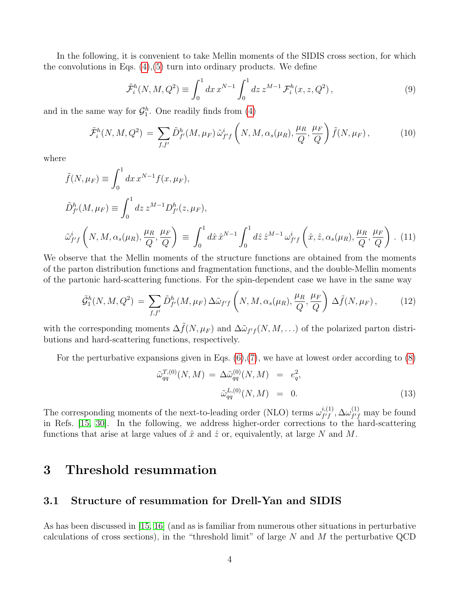In the following, it is convenient to take Mellin moments of the SIDIS cross section, for which the convolutions in Eqs.  $(4)$ , $(5)$  turn into ordinary products. We define

<span id="page-4-2"></span>
$$
\tilde{\mathcal{F}}_i^h(N, M, Q^2) \equiv \int_0^1 dx \, x^{N-1} \int_0^1 dz \, z^{M-1} \, \mathcal{F}_i^h(x, z, Q^2) \,, \tag{9}
$$

and in the same way for  $\mathcal{G}_1^h$ . One readily finds from [\(4\)](#page-3-1)

<span id="page-4-1"></span>
$$
\tilde{\mathcal{F}}_i^h(N,M,Q^2) = \sum_{f,f'} \tilde{D}_{f'}^h(M,\mu_F) \tilde{\omega}_{f'f}^i \left(N,M,\alpha_s(\mu_R),\frac{\mu_R}{Q},\frac{\mu_F}{Q}\right) \tilde{f}(N,\mu_F),\tag{10}
$$

where

$$
\tilde{f}(N,\mu_F) \equiv \int_0^1 dx \, x^{N-1} f(x,\mu_F),
$$
\n
$$
\tilde{D}_{f'}^h(M,\mu_F) \equiv \int_0^1 dz \, z^{M-1} D_{f'}^h(z,\mu_F),
$$
\n
$$
\tilde{\omega}_{f'f}^i \left(N, M, \alpha_s(\mu_R), \frac{\mu_R}{Q}, \frac{\mu_F}{Q}\right) \equiv \int_0^1 d\hat{x} \, \hat{x}^{N-1} \int_0^1 d\hat{z} \, \hat{z}^{M-1} \, \omega_{f'f}^i \left(\hat{x}, \hat{z}, \alpha_s(\mu_R), \frac{\mu_R}{Q}, \frac{\mu_F}{Q}\right). \tag{11}
$$

We observe that the Mellin moments of the structure functions are obtained from the moments of the parton distribution functions and fragmentation functions, and the double-Mellin moments of the partonic hard-scattering functions. For the spin-dependent case we have in the same way

$$
\tilde{\mathcal{G}}_1^h(N,M,Q^2) = \sum_{f,f'} \tilde{D}_{f'}^h(M,\mu_F) \,\Delta \tilde{\omega}_{f'f} \left(N,M,\alpha_s(\mu_R),\frac{\mu_R}{Q},\frac{\mu_F}{Q}\right) \,\Delta \tilde{f}(N,\mu_F),\tag{12}
$$

with the corresponding moments  $\Delta \tilde{f}(N,\mu_F)$  and  $\Delta \tilde{\omega}_{f'f}(N,M,\ldots)$  of the polarized parton distributions and hard-scattering functions, respectively.

For the perturbative expansions given in Eqs.  $(6)$ ,  $(7)$ , we have at lowest order according to  $(8)$ 

$$
\tilde{\omega}_{qq}^{T,(0)}(N,M) = \Delta \tilde{\omega}_{qq}^{(0)}(N,M) = e_q^2,
$$
  

$$
\tilde{\omega}_{qq}^{L,(0)}(N,M) = 0.
$$
 (13)

The corresponding moments of the next-to-leading order (NLO) terms  $\omega_{f/f}^{i,(1)}$  $_{f^{\prime}f}^{i,(1)},\Delta\omega_{f^{\prime}f}^{(1)}$  $f'_{f'}$  may be found in Refs. [\[15,](#page-24-11) [30\]](#page-25-6). In the following, we address higher-order corrections to the hard-scattering functions that arise at large values of  $\hat{x}$  and  $\hat{z}$  or, equivalently, at large N and M.

### <span id="page-4-0"></span>3 Threshold resummation

#### 3.1 Structure of resummation for Drell-Yan and SIDIS

As has been discussed in [\[15,](#page-24-11) [16\]](#page-24-12) (and as is familiar from numerous other situations in perturbative calculations of cross sections), in the "threshold limit" of large  $N$  and  $M$  the perturbative QCD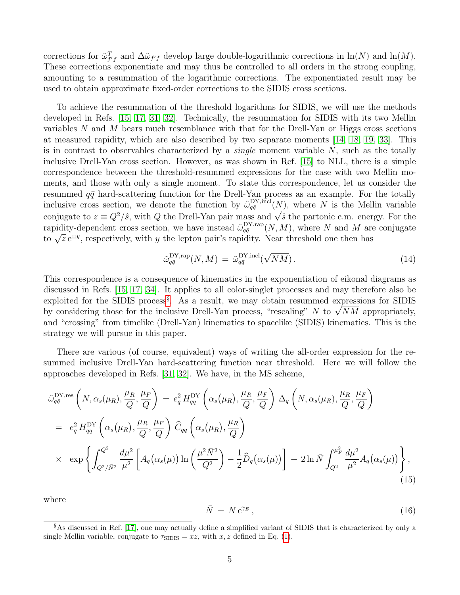corrections for  $\tilde{\omega}_{f'f}^T$  and  $\Delta \tilde{\omega}_{f'f}$  develop large double-logarithmic corrections in  $\ln(N)$  and  $\ln(M)$ . These corrections exponentiate and may thus be controlled to all orders in the strong coupling, amounting to a resummation of the logarithmic corrections. The exponentiated result may be used to obtain approximate fixed-order corrections to the SIDIS cross sections.

To achieve the resummation of the threshold logarithms for SIDIS, we will use the methods developed in Refs. [\[15,](#page-24-11) [17,](#page-24-10) [31,](#page-25-7) [32\]](#page-25-8). Technically, the resummation for SIDIS with its two Mellin variables  $N$  and  $M$  bears much resemblance with that for the Drell-Yan or Higgs cross sections at measured rapidity, which are also described by two separate moments [\[14,](#page-24-9) [18,](#page-25-0) [19,](#page-25-1) [33\]](#page-25-9). This is in contrast to observables characterized by a *single* moment variable  $N$ , such as the totally inclusive Drell-Yan cross section. However, as was shown in Ref. [\[15\]](#page-24-11) to NLL, there is a simple correspondence between the threshold-resummed expressions for the case with two Mellin moments, and those with only a single moment. To state this correspondence, let us consider the resummed  $q\bar{q}$  hard-scattering function for the Drell-Yan process as an example. For the totally inclusive cross section, we denote the function by  $\tilde{\omega}_{q\bar{q}}^{\text{DY},\text{incl}}$  $\frac{DY}{q\bar{q}}^{N}$ , where N is the Mellin variable conjugate to  $z \equiv Q^2/\hat{s}$ , with Q the Drell-Yan pair mass and  $\sqrt{\hat{s}}$  the partonic c.m. energy. For the rapidity-dependent cross section, we have instead  $\tilde{\omega}_{a\bar{a}}^{\text{DY,rap}}$  $\frac{\text{DY}, \text{rap}}{q\bar{q}}(N, M)$ , where N and M are conjugate to  $\sqrt{z}e^{\pm y}$ , respectively, with y the lepton pair's rapidity. Near threshold one then has

$$
\tilde{\omega}_{q\bar{q}}^{\mathrm{DY,rap}}(N,M) = \tilde{\omega}_{q\bar{q}}^{\mathrm{DY,incl}}(\sqrt{NM}). \tag{14}
$$

This correspondence is a consequence of kinematics in the exponentiation of eikonal diagrams as discussed in Refs. [\[15,](#page-24-11) [17,](#page-24-10) [34\]](#page-25-10). It applies to all color-singlet processes and may therefore also be exploited for the SIDIS process<sup>[§](#page-5-0)</sup>. As a result, we may obtain resummed expressions for SIDIS by considering those for the inclusive Drell-Yan process, "rescaling"  $N$  to  $\sqrt{NM}$  appropriately, and "crossing" from timelike (Drell-Yan) kinematics to spacelike (SIDIS) kinematics. This is the strategy we will pursue in this paper.

There are various (of course, equivalent) ways of writing the all-order expression for the resummed inclusive Drell-Yan hard-scattering function near threshold. Here we will follow the approaches developed in Refs. [\[31,](#page-25-7) [32\]](#page-25-8). We have, in the MS scheme,

<span id="page-5-1"></span>
$$
\tilde{\omega}_{q\bar{q}}^{\text{DY,res}}\left(N,\alpha_s(\mu_R),\frac{\mu_R}{Q},\frac{\mu_F}{Q}\right) = e_q^2 H_{q\bar{q}}^{\text{DY}}\left(\alpha_s(\mu_R),\frac{\mu_R}{Q},\frac{\mu_F}{Q}\right) \Delta_q\left(N,\alpha_s(\mu_R),\frac{\mu_R}{Q},\frac{\mu_F}{Q}\right)
$$
\n
$$
= e_q^2 H_{q\bar{q}}^{\text{DY}}\left(\alpha_s(\mu_R),\frac{\mu_R}{Q},\frac{\mu_F}{Q}\right) \widehat{C}_{qq}\left(\alpha_s(\mu_R),\frac{\mu_R}{Q}\right)
$$
\n
$$
\times \exp\left\{\int_{Q^2/\bar{N}^2}^{Q^2} \frac{d\mu^2}{\mu^2} \left[A_q(\alpha_s(\mu))\ln\left(\frac{\mu^2\bar{N}^2}{Q^2}\right) - \frac{1}{2}\widehat{D}_q(\alpha_s(\mu))\right] + 2\ln\bar{N}\int_{Q^2}^{\mu_F^2} \frac{d\mu^2}{\mu^2}A_q(\alpha_s(\mu))\right\},\tag{15}
$$

where

<span id="page-5-2"></span>
$$
\bar{N} = N e^{\gamma_E},\tag{16}
$$

<span id="page-5-0"></span><sup>§</sup>As discussed in Ref. [\[17\]](#page-24-10), one may actually define a simplified variant of SIDIS that is characterized by only a single Mellin variable, conjugate to  $\tau_{\text{SIDIS}} = xz$ , with  $x, z$  defined in Eq. [\(1\)](#page-2-1).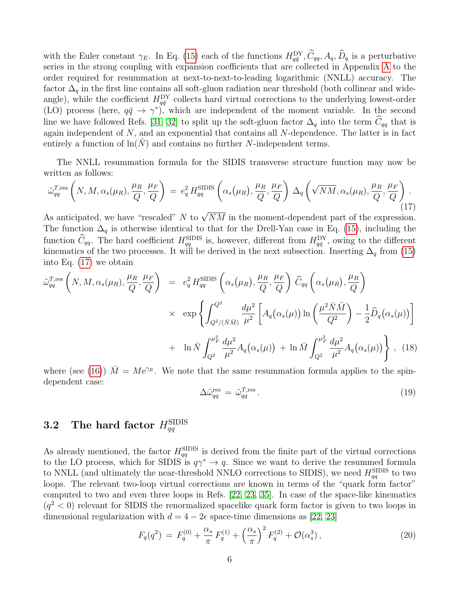with the Euler constant  $\gamma_E$ . In Eq. [\(15\)](#page-5-1) each of the functions  $H_{q\bar{q}}^{\text{DY}}, \hat{C}_{qq}, A_q, \hat{D}_q$  is a perturbative series in the strong coupling with expansion coefficients that are collected in Appendix [A](#page-20-0) to the order required for resummation at next-to-next-to-leading logarithmic (NNLL) accuracy. The factor  $\Delta_q$  in the first line contains all soft-gluon radiation near threshold (both collinear and wideangle), while the coefficient  $H_{q\bar{q}}^{\rm DY}$  collects hard virtual corrections to the underlying lowest-order (LO) process (here,  $q\bar{q} \to \gamma^*$ ), which are independent of the moment variable. In the second line we have followed Refs. [\[31,](#page-25-7) [32\]](#page-25-8) to split up the soft-gluon factor  $\Delta_q$  into the term  $\hat{C}_{qq}$  that is again independent of  $N$ , and an exponential that contains all  $N$ -dependence. The latter is in fact entirely a function of  $\ln(N)$  and contains no further N-independent terms.

The NNLL resummation formula for the SIDIS transverse structure function may now be written as follows:

<span id="page-6-0"></span>
$$
\tilde{\omega}_{qq}^{T,\text{res}}\left(N,M,\alpha_s(\mu_R),\frac{\mu_R}{Q},\frac{\mu_F}{Q}\right) = e_q^2 H_{qq}^{\text{SIDIS}}\left(\alpha_s(\mu_R),\frac{\mu_R}{Q},\frac{\mu_F}{Q}\right) \Delta_q\left(\sqrt{NM},\alpha_s(\mu_R),\frac{\mu_R}{Q},\frac{\mu_F}{Q}\right). \tag{17}
$$

As anticipated, we have "rescaled" N to  $\sqrt{NM}$  in the moment-dependent part of the expression. The function  $\Delta_q$  is otherwise identical to that for the Drell-Yan case in Eq. [\(15\)](#page-5-1), including the function  $\hat{C}_{qq}$ . The hard coefficient  $H_{qq}^{\text{SIDIS}}$  is, however, different from  $H_{q\bar{q}}^{\text{DY}}$ , owing to the different kinematics of the two processes. It will be derived in the next subsection. Inserting  $\Delta_q$  from [\(15\)](#page-5-1) into Eq. [\(17\)](#page-6-0) we obtain

<span id="page-6-1"></span>
$$
\tilde{\omega}_{qq}^{T,\text{res}}\left(N,M,\alpha_s(\mu_R),\frac{\mu_R}{Q},\frac{\mu_F}{Q}\right) = e_q^2 H_{qq}^{\text{SIDIS}}\left(\alpha_s(\mu_R),\frac{\mu_R}{Q},\frac{\mu_F}{Q}\right)\tilde{C}_{qq}\left(\alpha_s(\mu_R),\frac{\mu_R}{Q}\right)
$$

$$
\times \exp\left\{\int_{Q^2/(\bar{N}\bar{M})}^{Q^2} \frac{d\mu^2}{\mu^2} \left[A_q(\alpha_s(\mu))\ln\left(\frac{\mu^2 \bar{N}\bar{M}}{Q^2}\right) - \frac{1}{2}\widehat{D}_q(\alpha_s(\mu))\right]\right\}
$$

$$
+ \ln \bar{N}\int_{Q^2}^{\mu_F^2} \frac{d\mu^2}{\mu^2}A_q(\alpha_s(\mu)) + \ln \bar{M}\int_{Q^2}^{\mu_F^2} \frac{d\mu^2}{\mu^2}A_q(\alpha_s(\mu))\right\}, \quad (18)
$$

where (see [\(16\)](#page-5-2))  $\overline{M} = M e^{\gamma_E}$ . We note that the same resummation formula applies to the spindependent case:

$$
\Delta \tilde{\omega}_{qq}^{\text{res}} = \tilde{\omega}_{qq}^{\text{T,res}}.
$$
\n(19)

# $\bf 3.2 ~~~$  The hard factor  $H_{qq}^{\rm SIDIS}$

As already mentioned, the factor  $H_{qq}^{\text{SIDIS}}$  is derived from the finite part of the virtual corrections to the LO process, which for SIDIS is  $q\gamma^* \to q$ . Since we want to derive the resummed formula to NNLL (and ultimately the near-threshold NNLO corrections to SIDIS), we need  $H_{qq}^{\text{SIDIS}}$  to two loops. The relevant two-loop virtual corrections are known in terms of the "quark form factor" computed to two and even three loops in Refs. [\[22,](#page-25-11) [23,](#page-25-3) [35\]](#page-25-12). In case of the space-like kinematics  $(q^2 < 0)$  relevant for SIDIS the renormalized spacelike quark form factor is given to two loops in dimensional regularization with  $d = 4 - 2\epsilon$  space-time dimensions as [\[22,](#page-25-11) [23\]](#page-25-3)

$$
F_q(q^2) = F_q^{(0)} + \frac{\alpha_s}{\pi} F_q^{(1)} + \left(\frac{\alpha_s}{\pi}\right)^2 F_q^{(2)} + \mathcal{O}(\alpha_s^3) \,, \tag{20}
$$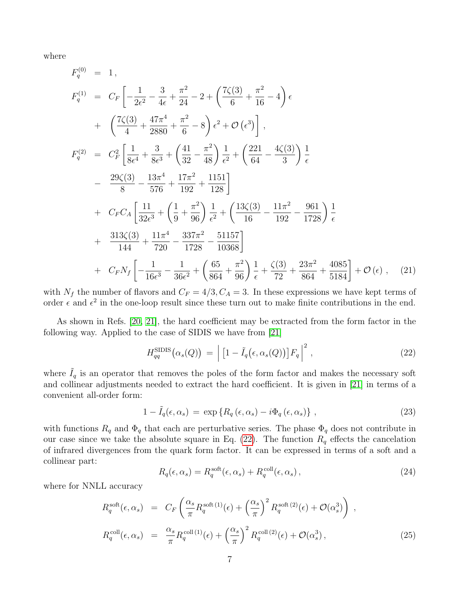where

$$
F_q^{(0)} = 1,
$$
  
\n
$$
F_q^{(1)} = C_F \left[ -\frac{1}{2\epsilon^2} - \frac{3}{4\epsilon} + \frac{\pi^2}{24} - 2 + \left( \frac{7\zeta(3)}{6} + \frac{\pi^2}{16} - 4 \right) \epsilon \right.
$$
  
\n
$$
+ \left( \frac{7\zeta(3)}{4} + \frac{47\pi^4}{2880} + \frac{\pi^2}{6} - 8 \right) \epsilon^2 + \mathcal{O} \left( \epsilon^3 \right) \right],
$$
  
\n
$$
F_q^{(2)} = C_F^2 \left[ \frac{1}{8\epsilon^4} + \frac{3}{8\epsilon^3} + \left( \frac{41}{32} - \frac{\pi^2}{48} \right) \frac{1}{\epsilon^2} + \left( \frac{221}{64} - \frac{4\zeta(3)}{3} \right) \frac{1}{\epsilon} - \frac{29\zeta(3)}{8} - \frac{13\pi^4}{576} + \frac{17\pi^2}{192} + \frac{1151}{128} \right] + C_F C_A \left[ \frac{11}{32\epsilon^3} + \left( \frac{1}{9} + \frac{\pi^2}{96} \right) \frac{1}{\epsilon^2} + \left( \frac{13\zeta(3)}{16} - \frac{11\pi^2}{192} - \frac{961}{1728} \right) \frac{1}{\epsilon} + \frac{313\zeta(3)}{144} + \frac{11\pi^4}{720} - \frac{337\pi^2}{1728} - \frac{51157}{10368} \right] + C_F N_f \left[ -\frac{1}{16\epsilon^3} - \frac{1}{36\epsilon^2} + \left( \frac{65}{864} + \frac{\pi^2}{96} \right) \frac{1}{\epsilon} + \frac{\zeta(3)}{72} + \frac{23\pi^2}{864} + \frac{4085}{5184} \right] + \mathcal{O} \left( \epsilon \right), \quad (21)
$$

with  $N_f$  the number of flavors and  $C_F = 4/3, C_A = 3$ . In these expressions we have kept terms of order  $\epsilon$  and  $\epsilon^2$  in the one-loop result since these turn out to make finite contributions in the end.

As shown in Refs. [\[20,](#page-25-2) [21\]](#page-25-13), the hard coefficient may be extracted from the form factor in the following way. Applied to the case of SIDIS we have from [\[21\]](#page-25-13)

<span id="page-7-0"></span>
$$
H_{qq}^{\text{SIDIS}}(\alpha_s(Q)) = \left| \left[ 1 - \tilde{I}_q(\epsilon, \alpha_s(Q)) \right] F_q \right|^2, \tag{22}
$$

where  $I_q$  is an operator that removes the poles of the form factor and makes the necessary soft and collinear adjustments needed to extract the hard coefficient. It is given in [\[21\]](#page-25-13) in terms of a convenient all-order form:

$$
1 - \tilde{I}_q(\epsilon, \alpha_s) = \exp\left\{ R_q(\epsilon, \alpha_s) - i\Phi_q(\epsilon, \alpha_s) \right\},\tag{23}
$$

with functions  $R_q$  and  $\Phi_q$  that each are perturbative series. The phase  $\Phi_q$  does not contribute in our case since we take the absolute square in Eq. [\(22\)](#page-7-0). The function  $R_q$  effects the cancelation of infrared divergences from the quark form factor. It can be expressed in terms of a soft and a collinear part:

$$
R_q(\epsilon, \alpha_s) = R_q^{\text{soft}}(\epsilon, \alpha_s) + R_q^{\text{coll}}(\epsilon, \alpha_s), \qquad (24)
$$

where for NNLL accuracy

$$
R_q^{\text{soft}}(\epsilon, \alpha_s) = C_F \left( \frac{\alpha_s}{\pi} R_q^{\text{soft (1)}}(\epsilon) + \left( \frac{\alpha_s}{\pi} \right)^2 R_q^{\text{soft (2)}}(\epsilon) + \mathcal{O}(\alpha_s^3) \right) ,
$$
  
\n
$$
R_q^{\text{coll}}(\epsilon, \alpha_s) = \frac{\alpha_s}{\pi} R_q^{\text{coll (1)}}(\epsilon) + \left( \frac{\alpha_s}{\pi} \right)^2 R_q^{\text{coll (2)}}(\epsilon) + \mathcal{O}(\alpha_s^3) ,
$$
\n(25)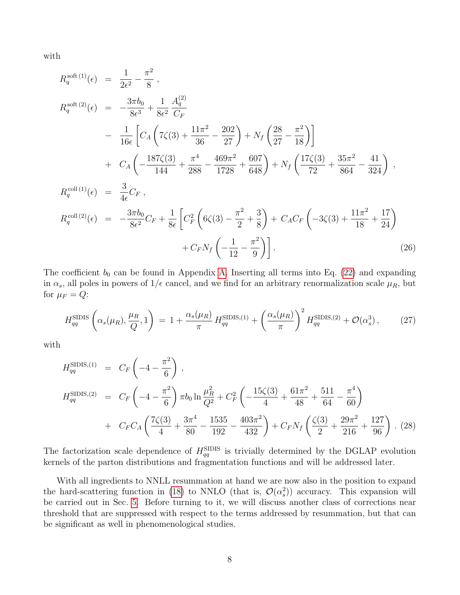with

$$
R_q^{\text{soft (1)}}(\epsilon) = \frac{1}{2\epsilon^2} - \frac{\pi^2}{8},
$$
  
\n
$$
R_q^{\text{soft (2)}}(\epsilon) = -\frac{3\pi b_0}{8\epsilon^3} + \frac{1}{8\epsilon^2} \frac{A_q^{(2)}}{C_F}
$$
  
\n
$$
- \frac{1}{16\epsilon} \left[ C_A \left( 7\zeta(3) + \frac{11\pi^2}{36} - \frac{202}{27} \right) + N_f \left( \frac{28}{27} - \frac{\pi^2}{18} \right) \right]
$$
  
\n
$$
+ C_A \left( -\frac{187\zeta(3)}{144} + \frac{\pi^4}{288} - \frac{469\pi^2}{1728} + \frac{607}{648} \right) + N_f \left( \frac{17\zeta(3)}{72} + \frac{35\pi^2}{864} - \frac{41}{324} \right),
$$
  
\n
$$
R_q^{\text{coll (1)}}(\epsilon) = \frac{3}{4\epsilon} C_F,
$$
  
\n
$$
R_q^{\text{coll (2)}}(\epsilon) = -\frac{3\pi b_0}{8\epsilon^2} C_F + \frac{1}{8\epsilon} \left[ C_F^2 \left( 6\zeta(3) - \frac{\pi^2}{2} + \frac{3}{8} \right) + C_A C_F \left( -3\zeta(3) + \frac{11\pi^2}{18} + \frac{17}{24} \right) \right]
$$
  
\n
$$
+ C_F N_f \left( -\frac{1}{12} - \frac{\pi^2}{9} \right) \right].
$$
  
\n(26)

The coefficient  $b_0$  can be found in Appendix [A.](#page-20-0) Inserting all terms into Eq. [\(22\)](#page-7-0) and expanding in  $\alpha_s$ , all poles in powers of  $1/\epsilon$  cancel, and we find for an arbitrary renormalization scale  $\mu_R$ , but for  $\mu_F = Q$ :

$$
H_{qq}^{\text{SIDIS}}\left(\alpha_s(\mu_R), \frac{\mu_R}{Q}, 1\right) = 1 + \frac{\alpha_s(\mu_R)}{\pi} H_{qq}^{\text{SIDIS}, (1)} + \left(\frac{\alpha_s(\mu_R)}{\pi}\right)^2 H_{qq}^{\text{SIDIS}, (2)} + \mathcal{O}(\alpha_s^3) ,\tag{27}
$$

with

<span id="page-8-0"></span>
$$
H_{qq}^{\text{SIDIS},(1)} = C_F \left( -4 - \frac{\pi^2}{6} \right),
$$
  
\n
$$
H_{qq}^{\text{SIDIS},(2)} = C_F \left( -4 - \frac{\pi^2}{6} \right) \pi b_0 \ln \frac{\mu_R^2}{Q^2} + C_F^2 \left( -\frac{15\zeta(3)}{4} + \frac{61\pi^2}{48} + \frac{511}{64} - \frac{\pi^4}{60} \right)
$$
  
\n
$$
+ C_F C_A \left( \frac{7\zeta(3)}{4} + \frac{3\pi^4}{80} - \frac{1535}{192} - \frac{403\pi^2}{432} \right) + C_F N_f \left( \frac{\zeta(3)}{2} + \frac{29\pi^2}{216} + \frac{127}{96} \right).
$$
 (28)

The factorization scale dependence of  $H_{qq}^{\text{SIDIS}}$  is trivially determined by the DGLAP evolution kernels of the parton distributions and fragmentation functions and will be addressed later.

With all ingredients to NNLL resummation at hand we are now also in the position to expand the hard-scattering function in [\(18\)](#page-6-1) to NNLO (that is,  $\mathcal{O}(\alpha_s^2)$ ) accuracy. This expansion will be carried out in Sec. [5.](#page-12-0) Before turning to it, we will discuss another class of corrections near threshold that are suppressed with respect to the terms addressed by resummation, but that can be significant as well in phenomenological studies.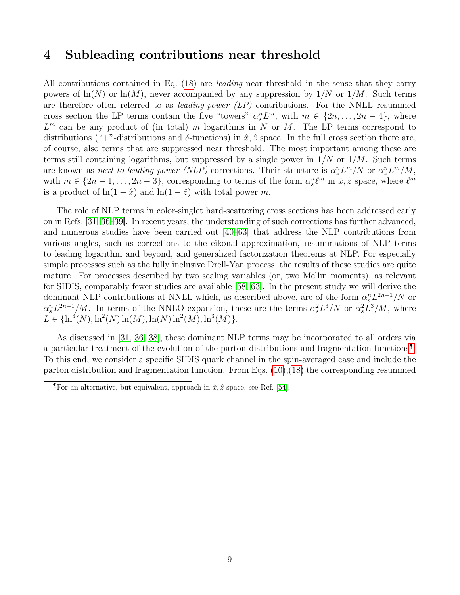#### <span id="page-9-0"></span>4 Subleading contributions near threshold

All contributions contained in Eq. [\(18\)](#page-6-1) are leading near threshold in the sense that they carry powers of  $\ln(N)$  or  $\ln(M)$ , never accompanied by any suppression by  $1/N$  or  $1/M$ . Such terms are therefore often referred to as *leading-power (LP)* contributions. For the NNLL resummed cross section the LP terms contain the five "towers"  $\alpha_s^n L^m$ , with  $m \in \{2n, \ldots, 2n-4\}$ , where  $L<sup>m</sup>$  can be any product of (in total) m logarithms in N or M. The LP terms correspond to distributions ("+"-distributions and  $\delta$ -functions) in  $\hat{x}, \hat{z}$  space. In the full cross section there are, of course, also terms that are suppressed near threshold. The most important among these are terms still containing logarithms, but suppressed by a single power in  $1/N$  or  $1/M$ . Such terms are known as *next-to-leading power* (NLP) corrections. Their structure is  $\alpha_s^n L^m/N$  or  $\alpha_s^n L^m/M$ , with  $m \in \{2n-1,\ldots,2n-3\}$ , corresponding to terms of the form  $\alpha_s^n\ell^m$  in  $\hat{x},\hat{z}$  space, where  $\ell^m$ is a product of  $ln(1 - \hat{x})$  and  $ln(1 - \hat{z})$  with total power m.

The role of NLP terms in color-singlet hard-scattering cross sections has been addressed early on in Refs. [\[31,](#page-25-7) [36](#page-25-14)[–39\]](#page-26-0). In recent years, the understanding of such corrections has further advanced, and numerous studies have been carried out [\[40](#page-26-1)[–63\]](#page-27-0) that address the NLP contributions from various angles, such as corrections to the eikonal approximation, resummations of NLP terms to leading logarithm and beyond, and generalized factorization theorems at NLP. For especially simple processes such as the fully inclusive Drell-Yan process, the results of these studies are quite mature. For processes described by two scaling variables (or, two Mellin moments), as relevant for SIDIS, comparably fewer studies are available [\[58,](#page-27-1) [63\]](#page-27-0). In the present study we will derive the dominant NLP contributions at NNLL which, as described above, are of the form  $\alpha_s^n L^{2n-1}/N$  or  $\alpha_s^n L^{2n-1}/M$ . In terms of the NNLO expansion, these are the terms  $\alpha_s^2 L^3/N$  or  $\alpha_s^2 L^3/M$ , where  $L \in {\ln^3(N), \ln^2(N) \ln(M), \ln(N) \ln^2(M), \ln^3(M)}.$ 

As discussed in [\[31,](#page-25-7) [36,](#page-25-14) [38\]](#page-26-2), these dominant NLP terms may be incorporated to all orders via a particular treatment of the evolution of the parton distributions and fragmentation functions[¶](#page-9-1) . To this end, we consider a specific SIDIS quark channel in the spin-averaged case and include the parton distribution and fragmentation function. From Eqs.  $(10),(18)$  $(10),(18)$  $(10),(18)$  the corresponding resummed

<span id="page-9-1"></span>**T**For an alternative, but equivalent, approach in  $\hat{x}, \hat{z}$  space, see Ref. [\[54\]](#page-26-3).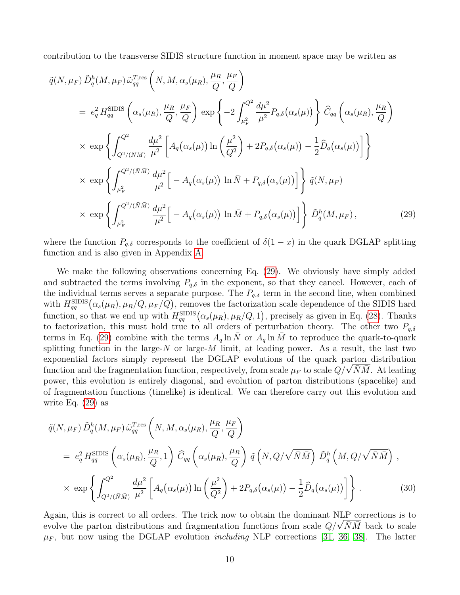contribution to the transverse SIDIS structure function in moment space may be written as

<span id="page-10-0"></span>
$$
\tilde{q}(N,\mu_{F}) \tilde{D}_{q}^{h}(M,\mu_{F}) \tilde{\omega}_{qq}^{T,\text{res}} \left(N,M,\alpha_{s}(\mu_{R}),\frac{\mu_{R}}{Q},\frac{\mu_{F}}{Q}\right)
$$
\n
$$
= e_{q}^{2} H_{qq}^{\text{SIDIS}} \left(\alpha_{s}(\mu_{R}),\frac{\mu_{R}}{Q},\frac{\mu_{F}}{Q}\right) \exp \left\{-2 \int_{\mu_{F}^{2}}^{Q^{2}} \frac{d\mu^{2}}{\mu^{2}} P_{q,\delta}(\alpha_{s}(\mu))\right\} \hat{C}_{qq} \left(\alpha_{s}(\mu_{R}),\frac{\mu_{R}}{Q}\right)
$$
\n
$$
\times \exp \left\{\int_{Q^{2}/(\bar{N}\bar{M})}^{Q^{2}} \frac{d\mu^{2}}{\mu^{2}} \left[A_{q}(\alpha_{s}(\mu))\ln\left(\frac{\mu^{2}}{Q^{2}}\right) + 2P_{q,\delta}(\alpha_{s}(\mu)) - \frac{1}{2}\hat{D}_{q}(\alpha_{s}(\mu))\right]\right\}
$$
\n
$$
\times \exp \left\{\int_{\mu_{F}^{2}}^{Q^{2}/(\bar{N}\bar{M})} \frac{d\mu^{2}}{\mu^{2}} \left[-A_{q}(\alpha_{s}(\mu))\ln\bar{N} + P_{q,\delta}(\alpha_{s}(\mu))\right]\right\} \tilde{q}(N,\mu_{F})
$$
\n
$$
\times \exp \left\{\int_{\mu_{F}^{2}}^{Q^{2}/(\bar{N}\bar{M})} \frac{d\mu^{2}}{\mu^{2}} \left[-A_{q}(\alpha_{s}(\mu))\ln\bar{M} + P_{q,\delta}(\alpha_{s}(\mu))\right]\right\} \tilde{D}_{q}^{h}(M,\mu_{F}), \tag{29}
$$

where the function  $P_{q,\delta}$  corresponds to the coefficient of  $\delta(1-x)$  in the quark DGLAP splitting function and is also given in Appendix [A.](#page-20-0)

We make the following observations concerning Eq. [\(29\)](#page-10-0). We obviously have simply added and subtracted the terms involving  $P_{q,\delta}$  in the exponent, so that they cancel. However, each of the individual terms serves a separate purpose. The  $P_{q,\delta}$  term in the second line, when combined with  $H_{qq}^{\text{SIDIS}}(\alpha_s(\mu_R), \mu_R/Q, \mu_F/Q)$ , removes the factorization scale dependence of the SIDIS hard function, so that we end up with  $H_{qq}^{\text{SIDIS}}(\alpha_s(\mu_R), \mu_R/Q, 1)$ , precisely as given in Eq. [\(28\)](#page-8-0). Thanks to factorization, this must hold true to all orders of perturbation theory. The other two  $P_{q,\delta}$ terms in Eq. [\(29\)](#page-10-0) combine with the terms  $A_q \ln N$  or  $A_q \ln M$  to reproduce the quark-to-quark splitting function in the large- $N$  or large- $M$  limit, at leading power. As a result, the last two exponential factors simply represent the DGLAP evolutions of the quark parton distribution function and the fragmentation function, respectively, from scale  $\mu_F$  to scale  $Q/\sqrt{\bar{N}\bar{M}}$ . At leading power, this evolution is entirely diagonal, and evolution of parton distributions (spacelike) and of fragmentation functions (timelike) is identical. We can therefore carry out this evolution and write Eq. [\(29\)](#page-10-0) as

<span id="page-10-1"></span>
$$
\tilde{q}(N,\mu_F) \tilde{D}_q^h(M,\mu_F) \tilde{\omega}_{qq}^{T,\text{res}} \left(N, M, \alpha_s(\mu_R), \frac{\mu_R}{Q}, \frac{\mu_F}{Q}\right)
$$
\n
$$
= e_q^2 H_{qq}^{\text{SIDIS}} \left(\alpha_s(\mu_R), \frac{\mu_R}{Q}, 1\right) \tilde{C}_{qq} \left(\alpha_s(\mu_R), \frac{\mu_R}{Q}\right) \tilde{q} \left(N, Q/\sqrt{\bar{N}\bar{M}}\right) \tilde{D}_q^h \left(M, Q/\sqrt{\bar{N}\bar{M}}\right),
$$
\n
$$
\times \exp \left\{ \int_{Q^2/(\bar{N}\bar{M})}^{Q^2} \frac{d\mu^2}{\mu^2} \left[A_q(\alpha_s(\mu)) \ln\left(\frac{\mu^2}{Q^2}\right) + 2P_{q,\delta}(\alpha_s(\mu)) - \frac{1}{2} \widehat{D}_q(\alpha_s(\mu))\right] \right\}.
$$
\n(30)

Again, this is correct to all orders. The trick now to obtain the dominant NLP corrections is to evolve the parton distributions and fragmentation functions from scale  $Q/\sqrt{\bar{N}\bar{M}}$  back to scale  $\mu_F$ , but now using the DGLAP evolution *including* NLP corrections [\[31,](#page-25-7) [36,](#page-25-14) [38\]](#page-26-2). The latter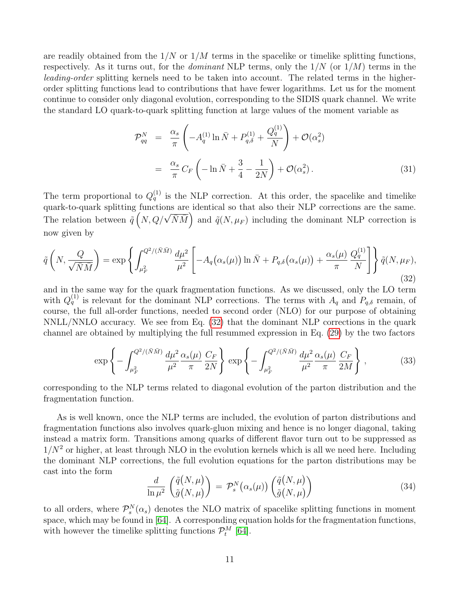are readily obtained from the  $1/N$  or  $1/M$  terms in the spacelike or timelike splitting functions, respectively. As it turns out, for the *dominant* NLP terms, only the  $1/N$  (or  $1/M$ ) terms in the leading-order splitting kernels need to be taken into account. The related terms in the higherorder splitting functions lead to contributions that have fewer logarithms. Let us for the moment continue to consider only diagonal evolution, corresponding to the SIDIS quark channel. We write the standard LO quark-to-quark splitting function at large values of the moment variable as

$$
\mathcal{P}_{qq}^N = \frac{\alpha_s}{\pi} \left( -A_q^{(1)} \ln \bar{N} + P_{q,\delta}^{(1)} + \frac{Q_q^{(1)}}{N} \right) + \mathcal{O}(\alpha_s^2)
$$

$$
= \frac{\alpha_s}{\pi} C_F \left( -\ln \bar{N} + \frac{3}{4} - \frac{1}{2N} \right) + \mathcal{O}(\alpha_s^2) . \tag{31}
$$

The term proportional to  $Q_q^{(1)}$  is the NLP correction. At this order, the spacelike and timelike quark-to-quark splitting functions are identical so that also their NLP corrections are the same. The relation between  $\tilde{q}$   $(N, Q/\sqrt{\bar{N}\bar{M}})$  and  $\tilde{q}(N, \mu_F)$  including the dominant NLP correction is now given by

<span id="page-11-0"></span>
$$
\tilde{q}\left(N,\frac{Q}{\sqrt{\bar{N}\bar{M}}}\right) = \exp\left\{\int_{\mu_F^2}^{Q^2/(\bar{N}\bar{M})} \frac{d\mu^2}{\mu^2} \left[-A_q(\alpha_s(\mu))\ln\bar{N} + P_{q,\delta}(\alpha_s(\mu)) + \frac{\alpha_s(\mu)}{\pi} \frac{Q_q^{(1)}}{N}\right]\right\} \tilde{q}(N,\mu_F),\tag{32}
$$

and in the same way for the quark fragmentation functions. As we discussed, only the LO term with  $Q_q^{(1)}$  is relevant for the dominant NLP corrections. The terms with  $A_q$  and  $P_{q,\delta}$  remain, of course, the full all-order functions, needed to second order (NLO) for our purpose of obtaining NNLL/NNLO accuracy. We see from Eq. [\(32\)](#page-11-0) that the dominant NLP corrections in the quark channel are obtained by multiplying the full resummed expression in Eq. [\(29\)](#page-10-0) by the two factors

<span id="page-11-2"></span>
$$
\exp\left\{-\int_{\mu_F^2}^{Q^2/(\bar{N}\bar{M})} \frac{d\mu^2}{\mu^2} \frac{\alpha_s(\mu)}{\pi} \frac{C_F}{2N}\right\} \exp\left\{-\int_{\mu_F^2}^{Q^2/(\bar{N}\bar{M})} \frac{d\mu^2}{\mu^2} \frac{\alpha_s(\mu)}{\pi} \frac{C_F}{2M}\right\},
$$
(33)

corresponding to the NLP terms related to diagonal evolution of the parton distribution and the fragmentation function.

As is well known, once the NLP terms are included, the evolution of parton distributions and fragmentation functions also involves quark-gluon mixing and hence is no longer diagonal, taking instead a matrix form. Transitions among quarks of different flavor turn out to be suppressed as  $1/N^2$  or higher, at least through NLO in the evolution kernels which is all we need here. Including the dominant NLP corrections, the full evolution equations for the parton distributions may be cast into the form

<span id="page-11-1"></span>
$$
\frac{d}{\ln \mu^2} \left( \frac{\tilde{q}(N,\mu)}{\tilde{g}(N,\mu)} \right) = \mathcal{P}_s^N(\alpha_s(\mu)) \left( \frac{\tilde{q}(N,\mu)}{\tilde{g}(N,\mu)} \right)
$$
(34)

to all orders, where  $\mathcal{P}_s^N(\alpha_s)$  denotes the NLO matrix of spacelike splitting functions in moment space, which may be found in [\[64\]](#page-27-2). A corresponding equation holds for the fragmentation functions, with however the timelike splitting functions  $\mathcal{P}_t^M$  [\[64\]](#page-27-2).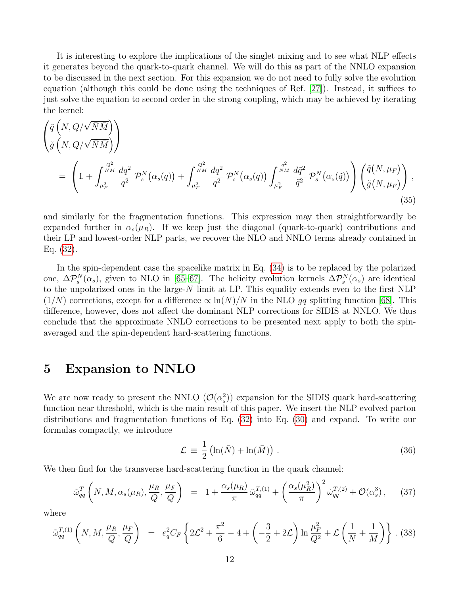It is interesting to explore the implications of the singlet mixing and to see what NLP effects it generates beyond the quark-to-quark channel. We will do this as part of the NNLO expansion to be discussed in the next section. For this expansion we do not need to fully solve the evolution equation (although this could be done using the techniques of Ref. [\[27\]](#page-25-15)). Instead, it suffices to just solve the equation to second order in the strong coupling, which may be achieved by iterating the kernel:

<span id="page-12-2"></span>
$$
\begin{split}\n\left(\tilde{q}\left(N,Q/\sqrt{\bar{N}\bar{M}}\right)\right) \\
= \left(1 + \int_{\mu_F^2}^{\frac{Q^2}{NM}} \frac{dq^2}{q^2} \mathcal{P}_s^N\left(\alpha_s(q)\right) + \int_{\mu_F^2}^{\frac{Q^2}{NM}} \frac{dq^2}{q^2} \mathcal{P}_s^N\left(\alpha_s(q)\right) \int_{\mu_F^2}^{\frac{q^2}{NM}} \frac{d\tilde{q}^2}{\tilde{q}^2} \mathcal{P}_s^N\left(\alpha_s(\tilde{q})\right) \right) \left(\tilde{q}\left(N,\mu_F\right)\right),\n\end{split} \tag{35}
$$

and similarly for the fragmentation functions. This expression may then straightforwardly be expanded further in  $\alpha_s(\mu_R)$ . If we keep just the diagonal (quark-to-quark) contributions and their LP and lowest-order NLP parts, we recover the NLO and NNLO terms already contained in Eq. [\(32\)](#page-11-0).

In the spin-dependent case the spacelike matrix in Eq. [\(34\)](#page-11-1) is to be replaced by the polarized one,  $\Delta \mathcal{P}_s^N(\alpha_s)$ , given to NLO in [\[65–](#page-27-3)[67\]](#page-27-4). The helicity evolution kernels  $\Delta \mathcal{P}_s^N(\alpha_s)$  are identical to the unpolarized ones in the large-N limit at LP. This equality extends even to the first NLP  $(1/N)$  corrections, except for a difference  $\propto \ln(N)/N$  in the NLO gq splitting function [\[68\]](#page-27-5). This difference, however, does not affect the dominant NLP corrections for SIDIS at NNLO. We thus conclude that the approximate NNLO corrections to be presented next apply to both the spinaveraged and the spin-dependent hard-scattering functions.

#### <span id="page-12-0"></span>5 Expansion to NNLO

We are now ready to present the NNLO  $(\mathcal{O}(\alpha_s^2))$  expansion for the SIDIS quark hard-scattering function near threshold, which is the main result of this paper. We insert the NLP evolved parton distributions and fragmentation functions of Eq. [\(32\)](#page-11-0) into Eq. [\(30\)](#page-10-1) and expand. To write our formulas compactly, we introduce

$$
\mathcal{L} = \frac{1}{2} \left( \ln(\bar{N}) + \ln(\bar{M}) \right) . \tag{36}
$$

We then find for the transverse hard-scattering function in the quark channel:

$$
\tilde{\omega}_{qq}^T\left(N,M,\alpha_s(\mu_R),\frac{\mu_R}{Q},\frac{\mu_F}{Q}\right) = 1 + \frac{\alpha_s(\mu_R)}{\pi} \tilde{\omega}_{qq}^{T,(1)} + \left(\frac{\alpha_s(\mu_R^2)}{\pi}\right)^2 \tilde{\omega}_{qq}^{T,(2)} + \mathcal{O}(\alpha_s^3), \quad (37)
$$

where

<span id="page-12-1"></span>
$$
\tilde{\omega}_{qq}^{T,(1)}\left(N,M,\frac{\mu_R}{Q},\frac{\mu_F}{Q}\right) = e_q^2 C_F \left\{2\mathcal{L}^2 + \frac{\pi^2}{6} - 4 + \left(-\frac{3}{2} + 2\mathcal{L}\right) \ln \frac{\mu_F^2}{Q^2} + \mathcal{L}\left(\frac{1}{N} + \frac{1}{M}\right)\right\}.
$$
 (38)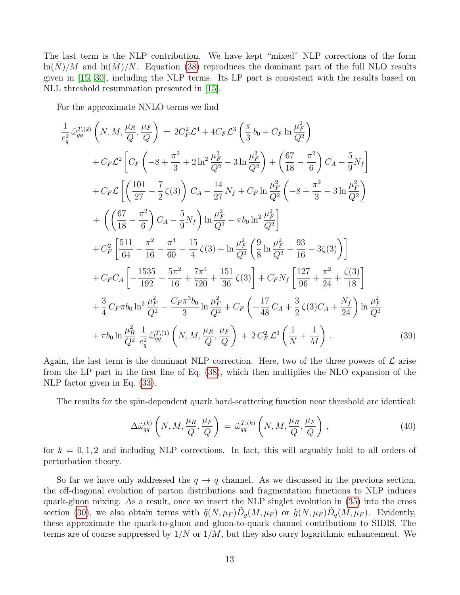The last term is the NLP contribution. We have kept "mixed" NLP corrections of the form  $\ln(N)/M$  and  $\ln(M)/N$ . Equation [\(38\)](#page-12-1) reproduces the dominant part of the full NLO results given in [\[15,](#page-24-11) [30\]](#page-25-6), including the NLP terms. Its LP part is consistent with the results based on NLL threshold resummation presented in [\[15\]](#page-24-11).

For the approximate NNLO terms we find

<span id="page-13-0"></span>
$$
\frac{1}{e_q^2} \tilde{\omega}_{qq}^{T,(2)} \left( N, M, \frac{\mu_R}{Q}, \frac{\mu_F}{Q} \right) = 2C_F^2 \mathcal{L}^4 + 4C_F \mathcal{L}^3 \left( \frac{\pi}{3} b_0 + C_F \ln \frac{\mu_F^2}{Q^2} \right) \n+ C_F \mathcal{L}^2 \left[ C_F \left( -8 + \frac{\pi^2}{3} + 2 \ln^2 \frac{\mu_F^2}{Q^2} - 3 \ln \frac{\mu_F^2}{Q^2} \right) + \left( \frac{67}{18} - \frac{\pi^2}{6} \right) C_A - \frac{5}{9} N_f \right] \n+ C_F \mathcal{L} \left[ \left( \frac{101}{27} - \frac{7}{2} \zeta(3) \right) C_A - \frac{14}{27} N_f + C_F \ln \frac{\mu_F^2}{Q^2} \left( -8 + \frac{\pi^2}{3} - 3 \ln \frac{\mu_F^2}{Q^2} \right) \right. \n+ \left( \left( \frac{67}{18} - \frac{\pi^2}{6} \right) C_A - \frac{5}{9} N_f \right) \ln \frac{\mu_F^2}{Q^2} - \pi b_0 \ln^2 \frac{\mu_F^2}{Q^2} \right] \n+ C_F^2 \left[ \frac{511}{64} - \frac{\pi^2}{16} - \frac{\pi^4}{60} - \frac{15}{4} \zeta(3) + \ln \frac{\mu_F^2}{Q^2} \left( \frac{9}{8} \ln \frac{\mu_F^2}{Q^2} + \frac{93}{16} - 3\zeta(3) \right) \right] \n+ C_F C_A \left[ -\frac{1535}{192} - \frac{5\pi^2}{16} + \frac{7\pi^4}{720} + \frac{151}{36} \zeta(3) \right] + C_F N_f \left[ \frac{127}{96} + \frac{\pi^2}{24} + \frac{\zeta(3)}{18} \right] \n+ \frac{3}{4} C_F \pi b_0 \ln^2 \frac{\mu_F^2}{Q^2} - \frac{C_F \pi^3 b_0}{3} \ln \frac{\mu_F^2}{Q^2} + C_F \left( -\frac{17}{48} C_A + \frac{3}{2} \z
$$

Again, the last term is the dominant NLP correction. Here, two of the three powers of  $\mathcal L$  arise from the LP part in the first line of Eq. [\(38\)](#page-12-1), which then multiplies the NLO expansion of the NLP factor given in Eq. [\(33\)](#page-11-2).

The results for the spin-dependent quark hard-scattering function near threshold are identical:

$$
\Delta \tilde{\omega}_{qq}^{(k)}\left(N,M,\frac{\mu_R}{Q},\frac{\mu_F}{Q}\right) = \tilde{\omega}_{qq}^{T,(k)}\left(N,M,\frac{\mu_R}{Q},\frac{\mu_F}{Q}\right),\tag{40}
$$

for  $k = 0, 1, 2$  and including NLP corrections. In fact, this will arguably hold to all orders of perturbation theory.

So far we have only addressed the  $q \to q$  channel. As we discussed in the previous section, the off-diagonal evolution of parton distributions and fragmentation functions to NLP induces quark-gluon mixing. As a result, once we insert the NLP singlet evolution in [\(35\)](#page-12-2) into the cross section [\(30\)](#page-10-1), we also obtain terms with  $\tilde{q}(N,\mu_F)\tilde{D}_g(M,\mu_F)$  or  $\tilde{g}(N,\mu_F)\tilde{D}_q(M,\mu_F)$ . Evidently, these approximate the quark-to-gluon and gluon-to-quark channel contributions to SIDIS. The terms are of course suppressed by  $1/N$  or  $1/M$ , but they also carry logarithmic enhancement. We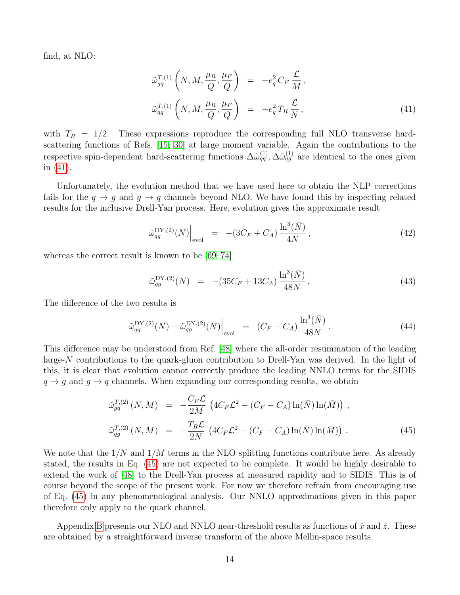find, at NLO:

<span id="page-14-0"></span>
$$
\tilde{\omega}_{gq}^{T,(1)}\left(N,M,\frac{\mu_{R}}{Q},\frac{\mu_{F}}{Q}\right) = -e_{q}^{2}C_{F}\frac{\mathcal{L}}{M},
$$
\n
$$
\tilde{\omega}_{qg}^{T,(1)}\left(N,M,\frac{\mu_{R}}{Q},\frac{\mu_{F}}{Q}\right) = -e_{q}^{2}T_{R}\frac{\mathcal{L}}{N},
$$
\n(41)

with  $T_R = 1/2$ . These expressions reproduce the corresponding full NLO transverse hardscattering functions of Refs. [\[15,](#page-24-11) [30\]](#page-25-6) at large moment variable. Again the contributions to the respective spin-dependent hard-scattering functions  $\Delta\tilde{\omega}_{gq}^{(1)}, \Delta\tilde{\omega}_{gg}^{(1)}$  are identical to the ones given in [\(41\)](#page-14-0).

Unfortunately, the evolution method that we have used here to obtain the NLP corrections fails for the  $q \to q$  and  $q \to q$  channels beyond NLO. We have found this by inspecting related results for the inclusive Drell-Yan process. Here, evolution gives the approximate result

$$
\tilde{\omega}_{qg}^{\mathrm{DY},(2)}(N)\Big|_{\mathrm{evol}} = -(3C_F + C_A) \frac{\ln^3(\bar{N})}{4N},\tag{42}
$$

whereas the correct result is known to be [\[69–](#page-27-6)[74\]](#page-27-7)

$$
\tilde{\omega}_{qg}^{\mathcal{DY},(2)}(N) = -(35C_F + 13C_A) \frac{\ln^3(\bar{N})}{48N}.
$$
\n(43)

The difference of the two results is

$$
\tilde{\omega}_{qg}^{\mathrm{DY},(2)}(N) - \tilde{\omega}_{qg}^{\mathrm{DY},(2)}(N)\Big|_{\mathrm{evol}} = (C_F - C_A) \frac{\ln^3(\bar{N})}{48N}.
$$
\n(44)

This difference may be understood from Ref. [\[48\]](#page-26-4) where the all-order resummation of the leading large-N contributions to the quark-gluon contribution to Drell-Yan was derived. In the light of this, it is clear that evolution cannot correctly produce the leading NNLO terms for the SIDIS  $q \rightarrow g$  and  $q \rightarrow q$  channels. When expanding our corresponding results, we obtain

<span id="page-14-1"></span>
$$
\tilde{\omega}_{gq}^{T,(2)}(N,M) = -\frac{C_F \mathcal{L}}{2M} \left( 4C_F \mathcal{L}^2 - (C_F - C_A) \ln(\bar{N}) \ln(\bar{M}) \right), \n\tilde{\omega}_{qg}^{T,(2)}(N,M) = -\frac{T_R \mathcal{L}}{2N} \left( 4C_F \mathcal{L}^2 - (C_F - C_A) \ln(\bar{N}) \ln(\bar{M}) \right).
$$
\n(45)

We note that the  $1/N$  and  $1/M$  terms in the NLO splitting functions contribute here. As already stated, the results in Eq. [\(45\)](#page-14-1) are not expected to be complete. It would be highly desirable to extend the work of [\[48\]](#page-26-4) to the Drell-Yan process at measured rapidity and to SIDIS. This is of course beyond the scope of the present work. For now we therefore refrain from encouraging use of Eq. [\(45\)](#page-14-1) in any phenomenological analysis. Our NNLO approximations given in this paper therefore only apply to the quark channel.

Appendix [B](#page-21-0) presents our NLO and NNLO near-threshold results as functions of  $\hat{x}$  and  $\hat{z}$ . These are obtained by a straightforward inverse transform of the above Mellin-space results.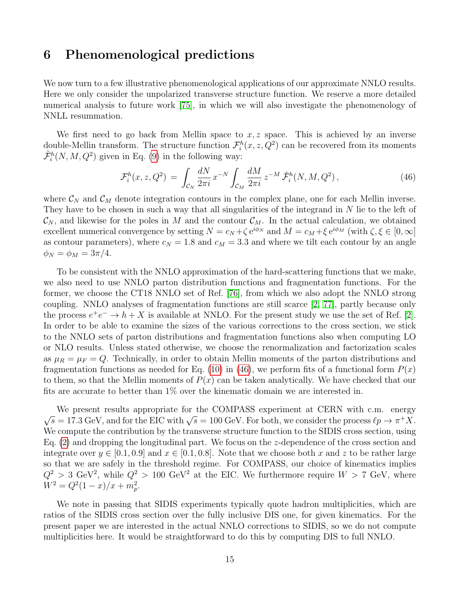### <span id="page-15-0"></span>6 Phenomenological predictions

We now turn to a few illustrative phenomenological applications of our approximate NNLO results. Here we only consider the unpolarized transverse structure function. We reserve a more detailed numerical analysis to future work [\[75\]](#page-27-8), in which we will also investigate the phenomenology of NNLL resummation.

We first need to go back from Mellin space to  $x, z$  space. This is achieved by an inverse double-Mellin transform. The structure function  $\mathcal{F}_i^h(x, z, Q^2)$  can be recovered from its moments  $\tilde{\mathcal{F}}_i^h(N, M, Q^2)$  given in Eq. [\(9\)](#page-4-2) in the following way:

<span id="page-15-1"></span>
$$
\mathcal{F}_i^h(x, z, Q^2) = \int_{\mathcal{C}_N} \frac{dN}{2\pi i} x^{-N} \int_{\mathcal{C}_M} \frac{dM}{2\pi i} z^{-M} \tilde{\mathcal{F}}_i^h(N, M, Q^2) \,, \tag{46}
$$

where  $\mathcal{C}_N$  and  $\mathcal{C}_M$  denote integration contours in the complex plane, one for each Mellin inverse. They have to be chosen in such a way that all singularities of the integrand in  $N$  lie to the left of  $\mathcal{C}_N$ , and likewise for the poles in M and the contour  $\mathcal{C}_M$ . In the actual calculation, we obtained excellent numerical convergence by setting  $N = c_N + \zeta e^{i\phi_N}$  and  $M = c_M + \xi e^{i\phi_M}$  (with  $\zeta, \xi \in [0, \infty]$ as contour parameters), where  $c_N = 1.8$  and  $c_M = 3.3$  and where we tilt each contour by an angle  $\phi_N = \phi_M = 3\pi/4.$ 

To be consistent with the NNLO approximation of the hard-scattering functions that we make, we also need to use NNLO parton distribution functions and fragmentation functions. For the former, we choose the CT18 NNLO set of Ref. [\[76\]](#page-28-0), from which we also adopt the NNLO strong coupling. NNLO analyses of fragmentation functions are still scarce [\[2,](#page-24-13) [77\]](#page-28-1), partly because only the process  $e^+e^- \to h+X$  is available at NNLO. For the present study we use the set of Ref. [\[2\]](#page-24-13). In order to be able to examine the sizes of the various corrections to the cross section, we stick to the NNLO sets of parton distributions and fragmentation functions also when computing LO or NLO results. Unless stated otherwise, we choose the renormalization and factorization scales as  $\mu_R = \mu_F = Q$ . Technically, in order to obtain Mellin moments of the parton distributions and fragmentation functions as needed for Eq. [\(10\)](#page-4-1) in [\(46\)](#page-15-1), we perform fits of a functional form  $P(x)$ to them, so that the Mellin moments of  $P(x)$  can be taken analytically. We have checked that our fits are accurate to better than 1% over the kinematic domain we are interested in.

We present results appropriate for the COMPASS experiment at CERN with c.m. energy  $\sqrt{s} = 17.3 \text{ GeV}$ , and for the EIC with  $\sqrt{s} = 100 \text{ GeV}$ . For both, we consider the process  $\ell p \to \pi^+ X$ . We compute the contribution by the transverse structure function to the SIDIS cross section, using Eq. [\(2\)](#page-2-2) and dropping the longitudinal part. We focus on the z-dependence of the cross section and integrate over  $y \in [0.1, 0.9]$  and  $x \in [0.1, 0.8]$ . Note that we choose both x and z to be rather large so that we are safely in the threshold regime. For COMPASS, our choice of kinematics implies  $Q^2 > 3$  GeV<sup>2</sup>, while  $Q^2 > 100$  GeV<sup>2</sup> at the EIC. We furthermore require  $W > 7$  GeV, where  $W^2 = Q^2(1-x)/x + m_p^2$ .

We note in passing that SIDIS experiments typically quote hadron multiplicities, which are ratios of the SIDIS cross section over the fully inclusive DIS one, for given kinematics. For the present paper we are interested in the actual NNLO corrections to SIDIS, so we do not compute multiplicities here. It would be straightforward to do this by computing DIS to full NNLO.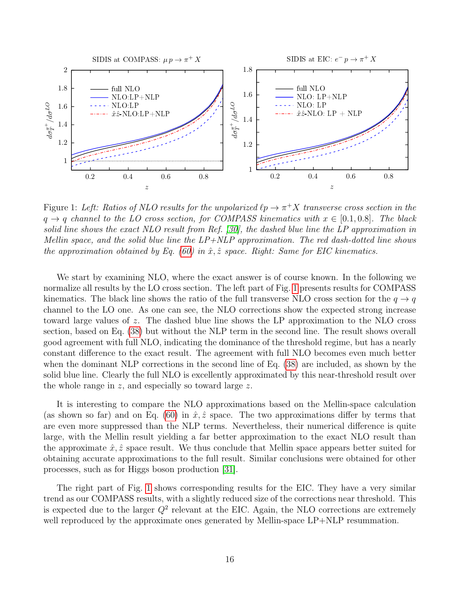

<span id="page-16-0"></span>Figure 1: Left: Ratios of NLO results for the unpolarized  $\ell p \to \pi^+ X$  transverse cross section in the  $q \rightarrow q$  channel to the LO cross section, for COMPASS kinematics with  $x \in [0.1, 0.8]$ . The black solid line shows the exact NLO result from Ref. [\[30\]](#page-25-6), the dashed blue line the LP approximation in Mellin space, and the solid blue line the  $LP+NLP$  approximation. The red dash-dotted line shows the approximation obtained by Eq. [\(60\)](#page-22-0) in  $\hat{x}, \hat{z}$  space. Right: Same for EIC kinematics.

We start by examining NLO, where the exact answer is of course known. In the following we normalize all results by the LO cross section. The left part of Fig. [1](#page-16-0) presents results for COMPASS kinematics. The black line shows the ratio of the full transverse NLO cross section for the  $q \rightarrow q$ channel to the LO one. As one can see, the NLO corrections show the expected strong increase toward large values of z. The dashed blue line shows the LP approximation to the NLO cross section, based on Eq. [\(38\)](#page-12-1) but without the NLP term in the second line. The result shows overall good agreement with full NLO, indicating the dominance of the threshold regime, but has a nearly constant difference to the exact result. The agreement with full NLO becomes even much better when the dominant NLP corrections in the second line of Eq. [\(38\)](#page-12-1) are included, as shown by the solid blue line. Clearly the full NLO is excellently approximated by this near-threshold result over the whole range in z, and especially so toward large z.

It is interesting to compare the NLO approximations based on the Mellin-space calculation (as shown so far) and on Eq. [\(60\)](#page-22-0) in  $\hat{x}, \hat{z}$  space. The two approximations differ by terms that are even more suppressed than the NLP terms. Nevertheless, their numerical difference is quite large, with the Mellin result yielding a far better approximation to the exact NLO result than the approximate  $\hat{x}, \hat{z}$  space result. We thus conclude that Mellin space appears better suited for obtaining accurate approximations to the full result. Similar conclusions were obtained for other processes, such as for Higgs boson production [\[31\]](#page-25-7).

The right part of Fig. [1](#page-16-0) shows corresponding results for the EIC. They have a very similar trend as our COMPASS results, with a slightly reduced size of the corrections near threshold. This is expected due to the larger  $Q^2$  relevant at the EIC. Again, the NLO corrections are extremely well reproduced by the approximate ones generated by Mellin-space LP+NLP resummation.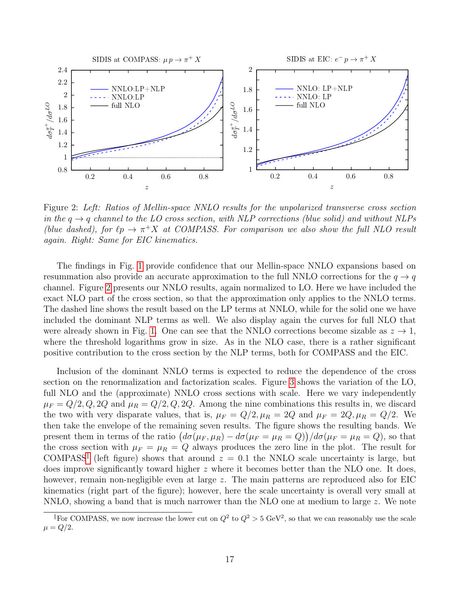

<span id="page-17-0"></span>Figure 2: Left: Ratios of Mellin-space NNLO results for the unpolarized transverse cross section in the  $q \rightarrow q$  channel to the LO cross section, with NLP corrections (blue solid) and without NLPs (blue dashed), for  $\ell p \to \pi^+ X$  at COMPASS. For comparison we also show the full NLO result again. Right: Same for EIC kinematics.

The findings in Fig. [1](#page-16-0) provide confidence that our Mellin-space NNLO expansions based on resummation also provide an accurate approximation to the full NNLO corrections for the  $q \rightarrow q$ channel. Figure [2](#page-17-0) presents our NNLO results, again normalized to LO. Here we have included the exact NLO part of the cross section, so that the approximation only applies to the NNLO terms. The dashed line shows the result based on the LP terms at NNLO, while for the solid one we have included the dominant NLP terms as well. We also display again the curves for full NLO that were already shown in Fig. [1.](#page-16-0) One can see that the NNLO corrections become sizable as  $z \to 1$ , where the threshold logarithms grow in size. As in the NLO case, there is a rather significant positive contribution to the cross section by the NLP terms, both for COMPASS and the EIC.

Inclusion of the dominant NNLO terms is expected to reduce the dependence of the cross section on the renormalization and factorization scales. Figure [3](#page-18-0) shows the variation of the LO, full NLO and the (approximate) NNLO cross sections with scale. Here we vary independently  $\mu_F = Q/2, Q, 2Q$  and  $\mu_R = Q/2, Q, 2Q$ . Among the nine combinations this results in, we discard the two with very disparate values, that is,  $\mu_F = Q/2$ ,  $\mu_R = 2Q$  and  $\mu_F = 2Q$ ,  $\mu_R = Q/2$ . We then take the envelope of the remaining seven results. The figure shows the resulting bands. We present them in terms of the ratio  $(d\sigma(\mu_F, \mu_R) - d\sigma(\mu_F = \mu_R = Q))/d\sigma(\mu_F = \mu_R = Q)$ , so that the cross section with  $\mu_F = \mu_R = Q$  always produces the zero line in the plot. The result for COMPASS<sup>|</sup> (left figure) shows that around  $z = 0.1$  the NNLO scale uncertainty is large, but does improve significantly toward higher z where it becomes better than the NLO one. It does, however, remain non-negligible even at large z. The main patterns are reproduced also for EIC kinematics (right part of the figure); however, here the scale uncertainty is overall very small at NNLO, showing a band that is much narrower than the NLO one at medium to large  $z$ . We note

<span id="page-17-1"></span>For COMPASS, we now increase the lower cut on  $Q^2$  to  $Q^2 > 5 \text{ GeV}^2$ , so that we can reasonably use the scale  $\mu = Q/2.$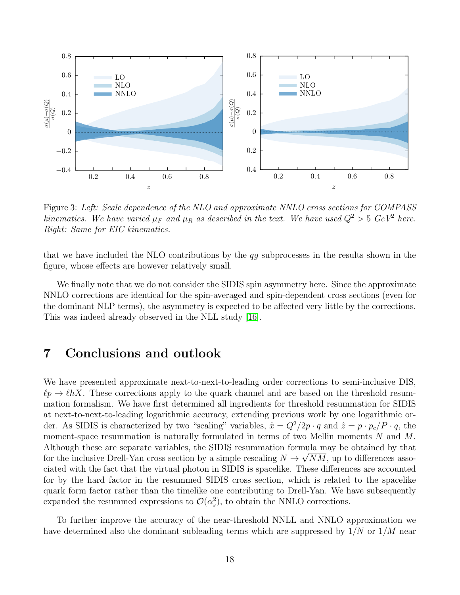

<span id="page-18-0"></span>Figure 3: Left: Scale dependence of the NLO and approximate NNLO cross sections for COMPASS kinematics. We have varied  $\mu_F$  and  $\mu_R$  as described in the text. We have used  $Q^2 > 5$  GeV<sup>2</sup> here. Right: Same for EIC kinematics.

that we have included the NLO contributions by the qg subprocesses in the results shown in the figure, whose effects are however relatively small.

We finally note that we do not consider the SIDIS spin asymmetry here. Since the approximate NNLO corrections are identical for the spin-averaged and spin-dependent cross sections (even for the dominant NLP terms), the asymmetry is expected to be affected very little by the corrections. This was indeed already observed in the NLL study [\[16\]](#page-24-12).

#### 7 Conclusions and outlook

We have presented approximate next-to-next-to-leading order corrections to semi-inclusive DIS,  $\ell p \to \ell hX$ . These corrections apply to the quark channel and are based on the threshold resummation formalism. We have first determined all ingredients for threshold resummation for SIDIS at next-to-next-to-leading logarithmic accuracy, extending previous work by one logarithmic order. As SIDIS is characterized by two "scaling" variables,  $\hat{x} = Q^2/2p \cdot q$  and  $\hat{z} = p \cdot p_c/P \cdot q$ , the moment-space resummation is naturally formulated in terms of two Mellin moments  $N$  and  $M$ . Although these are separate variables, the SIDIS resummation formula may be obtained by that for the inclusive Drell-Yan cross section by a simple rescaling  $N \to \sqrt{NM}$ , up to differences associated with the fact that the virtual photon in SIDIS is spacelike. These differences are accounted for by the hard factor in the resummed SIDIS cross section, which is related to the spacelike quark form factor rather than the timelike one contributing to Drell-Yan. We have subsequently expanded the resummed expressions to  $\mathcal{O}(\alpha_s^2)$ , to obtain the NNLO corrections.

To further improve the accuracy of the near-threshold NNLL and NNLO approximation we have determined also the dominant subleading terms which are suppressed by  $1/N$  or  $1/M$  near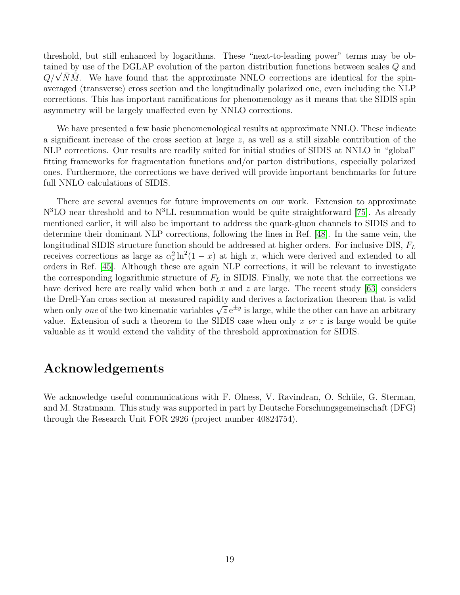threshold, but still enhanced by logarithms. These "next-to-leading power" terms may be obtained by use of the DGLAP evolution of the parton distribution functions between scales Q and  $Q/\sqrt{\bar{N}\bar{M}}$ . We have found that the approximate NNLO corrections are identical for the spinaveraged (transverse) cross section and the longitudinally polarized one, even including the NLP corrections. This has important ramifications for phenomenology as it means that the SIDIS spin asymmetry will be largely unaffected even by NNLO corrections.

We have presented a few basic phenomenological results at approximate NNLO. These indicate a significant increase of the cross section at large  $z$ , as well as a still sizable contribution of the NLP corrections. Our results are readily suited for initial studies of SIDIS at NNLO in "global" fitting frameworks for fragmentation functions and/or parton distributions, especially polarized ones. Furthermore, the corrections we have derived will provide important benchmarks for future full NNLO calculations of SIDIS.

There are several avenues for future improvements on our work. Extension to approximate  $N<sup>3</sup>LO$  near threshold and to  $N<sup>3</sup>LL$  resummation would be quite straightforward [\[75\]](#page-27-8). As already mentioned earlier, it will also be important to address the quark-gluon channels to SIDIS and to determine their dominant NLP corrections, following the lines in Ref. [\[48\]](#page-26-4). In the same vein, the longitudinal SIDIS structure function should be addressed at higher orders. For inclusive DIS,  $F_L$ receives corrections as large as  $\alpha_s^2 \ln^2(1-x)$  at high x, which were derived and extended to all orders in Ref. [\[45\]](#page-26-5). Although these are again NLP corrections, it will be relevant to investigate the corresponding logarithmic structure of  $F<sub>L</sub>$  in SIDIS. Finally, we note that the corrections we have derived here are really valid when both  $x$  and  $z$  are large. The recent study [\[63\]](#page-27-0) considers the Drell-Yan cross section at measured rapidity and derives a factorization theorem that is valid when only one of the two kinematic variables  $\sqrt{z}e^{\pm y}$  is large, while the other can have an arbitrary value. Extension of such a theorem to the SIDIS case when only x or z is large would be quite valuable as it would extend the validity of the threshold approximation for SIDIS.

### Acknowledgements

We acknowledge useful communications with F. Olness, V. Ravindran, O. Schüle, G. Sterman, and M. Stratmann. This study was supported in part by Deutsche Forschungsgemeinschaft (DFG) through the Research Unit FOR 2926 (project number 40824754).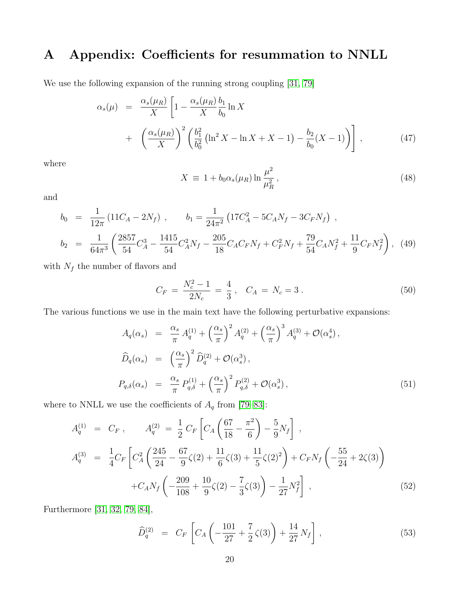# <span id="page-20-0"></span>A Appendix: Coefficients for resummation to NNLL

We use the following expansion of the running strong coupling [\[31,](#page-25-7) [79\]](#page-28-2)

$$
\alpha_s(\mu) = \frac{\alpha_s(\mu_R)}{X} \left[ 1 - \frac{\alpha_s(\mu_R)}{X} \frac{b_1}{b_0} \ln X + \left( \frac{\alpha_s(\mu_R)}{X} \right)^2 \left( \frac{b_1^2}{b_0^2} \left( \ln^2 X - \ln X + X - 1 \right) - \frac{b_2}{b_0} (X - 1) \right) \right],
$$
\n(47)

where

$$
X \equiv 1 + b_0 \alpha_s(\mu_R) \ln \frac{\mu^2}{\mu_R^2},\tag{48}
$$

and

$$
b_0 = \frac{1}{12\pi} (11C_A - 2N_f) , \qquad b_1 = \frac{1}{24\pi^2} (17C_A^2 - 5C_A N_f - 3C_F N_f) ,
$$
  
\n
$$
b_2 = \frac{1}{64\pi^3} \left( \frac{2857}{54} C_A^3 - \frac{1415}{54} C_A^2 N_f - \frac{205}{18} C_A C_F N_f + C_F^2 N_f + \frac{79}{54} C_A N_f^2 + \frac{11}{9} C_F N_f^2 \right),
$$
(49)

with  $N_f$  the number of flavors and

$$
C_F = \frac{N_c^2 - 1}{2N_c} = \frac{4}{3}, \quad C_A = N_c = 3. \tag{50}
$$

The various functions we use in the main text have the following perturbative expansions:

$$
A_q(\alpha_s) = \frac{\alpha_s}{\pi} A_q^{(1)} + \left(\frac{\alpha_s}{\pi}\right)^2 A_q^{(2)} + \left(\frac{\alpha_s}{\pi}\right)^3 A_q^{(3)} + \mathcal{O}(\alpha_s^4),
$$
  

$$
\widehat{D}_q(\alpha_s) = \left(\frac{\alpha_s}{\pi}\right)^2 \widehat{D}_q^{(2)} + \mathcal{O}(\alpha_s^3),
$$
  

$$
P_{q,\delta}(\alpha_s) = \frac{\alpha_s}{\pi} P_{q,\delta}^{(1)} + \left(\frac{\alpha_s}{\pi}\right)^2 P_{q,\delta}^{(2)} + \mathcal{O}(\alpha_s^3),
$$
 (51)

where to NNLL we use the coefficients of  $A_q$  from [\[79–](#page-28-2)[83\]](#page-28-3):

$$
A_q^{(1)} = C_F, \qquad A_q^{(2)} = \frac{1}{2} C_F \left[ C_A \left( \frac{67}{18} - \frac{\pi^2}{6} \right) - \frac{5}{9} N_f \right],
$$
  
\n
$$
A_q^{(3)} = \frac{1}{4} C_F \left[ C_A^2 \left( \frac{245}{24} - \frac{67}{9} \zeta (2) + \frac{11}{6} \zeta (3) + \frac{11}{5} \zeta (2)^2 \right) + C_F N_f \left( -\frac{55}{24} + 2 \zeta (3) \right) \right]
$$
  
\n
$$
+ C_A N_f \left( -\frac{209}{108} + \frac{10}{9} \zeta (2) - \frac{7}{3} \zeta (3) \right) - \frac{1}{27} N_f^2 \right],
$$
\n(52)

Furthermore [\[31,](#page-25-7) [32,](#page-25-8) [79,](#page-28-2) [84\]](#page-28-4),

$$
\widehat{D}_q^{(2)} = C_F \left[ C_A \left( -\frac{101}{27} + \frac{7}{2} \zeta(3) \right) + \frac{14}{27} N_f \right],
$$
\n(53)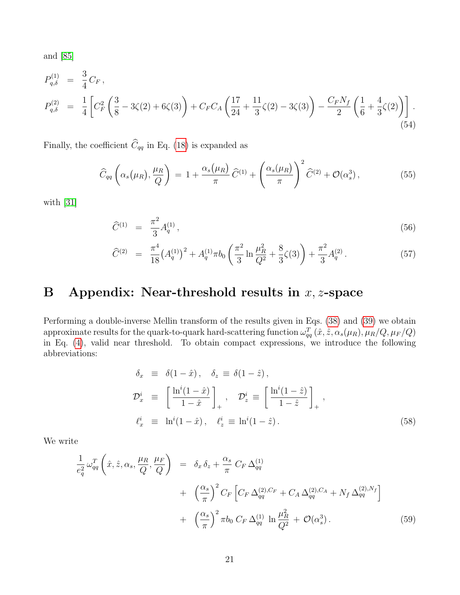and [\[85\]](#page-28-5)

$$
P_{q,\delta}^{(1)} = \frac{3}{4} C_F,
$$
  
\n
$$
P_{q,\delta}^{(2)} = \frac{1}{4} \left[ C_F^2 \left( \frac{3}{8} - 3\zeta(2) + 6\zeta(3) \right) + C_F C_A \left( \frac{17}{24} + \frac{11}{3} \zeta(2) - 3\zeta(3) \right) - \frac{C_F N_f}{2} \left( \frac{1}{6} + \frac{4}{3} \zeta(2) \right) \right].
$$
\n(54)

Finally, the coefficient  $\widehat{C}_{qq}$  in Eq. [\(18\)](#page-6-1) is expanded as

$$
\widehat{C}_{qq}\left(\alpha_s(\mu_R),\frac{\mu_R}{Q}\right) = 1 + \frac{\alpha_s(\mu_R)}{\pi} \widehat{C}^{(1)} + \left(\frac{\alpha_s(\mu_R)}{\pi}\right)^2 \widehat{C}^{(2)} + \mathcal{O}(\alpha_s^3),\tag{55}
$$

with [\[31\]](#page-25-7)

$$
\widehat{C}^{(1)} = \frac{\pi^2}{3} A_q^{(1)},\tag{56}
$$

$$
\widehat{C}^{(2)} = \frac{\pi^4}{18} \left( A_q^{(1)} \right)^2 + A_q^{(1)} \pi b_0 \left( \frac{\pi^2}{3} \ln \frac{\mu_R^2}{Q^2} + \frac{8}{3} \zeta(3) \right) + \frac{\pi^2}{3} A_q^{(2)}.
$$
\n
$$
(57)
$$

# <span id="page-21-0"></span>B Appendix: Near-threshold results in  $x, z$ -space

Performing a double-inverse Mellin transform of the results given in Eqs. [\(38\)](#page-12-1) and [\(39\)](#page-13-0) we obtain approximate results for the quark-to-quark hard-scattering function  $\omega_{qq}^T(\hat{x}, \hat{z}, \alpha_s(\mu_R), \mu_R/Q, \mu_F/Q)$ in Eq. [\(4\)](#page-3-1), valid near threshold. To obtain compact expressions, we introduce the following abbreviations:

$$
\delta_x \equiv \delta(1-\hat{x}), \quad \delta_z \equiv \delta(1-\hat{z}),
$$
  
\n
$$
\mathcal{D}_x^i \equiv \left[\frac{\ln^i(1-\hat{x})}{1-\hat{x}}\right]_+, \quad \mathcal{D}_z^i \equiv \left[\frac{\ln^i(1-\hat{z})}{1-\hat{z}}\right]_+,
$$
  
\n
$$
\ell_x^i \equiv \ln^i(1-\hat{x}), \quad \ell_z^i \equiv \ln^i(1-\hat{z}).
$$
\n(58)

We write

$$
\frac{1}{e_q^2} \omega_{qq}^T \left( \hat{x}, \hat{z}, \alpha_s, \frac{\mu_R}{Q}, \frac{\mu_F}{Q} \right) = \delta_x \delta_z + \frac{\alpha_s}{\pi} C_F \Delta_{qq}^{(1)} \n+ \left( \frac{\alpha_s}{\pi} \right)^2 C_F \left[ C_F \Delta_{qq}^{(2), C_F} + C_A \Delta_{qq}^{(2), C_A} + N_f \Delta_{qq}^{(2), N_f} \right] \n+ \left( \frac{\alpha_s}{\pi} \right)^2 \pi b_0 C_F \Delta_{qq}^{(1)} \ln \frac{\mu_R^2}{Q^2} + \mathcal{O}(\alpha_s^3).
$$
\n(59)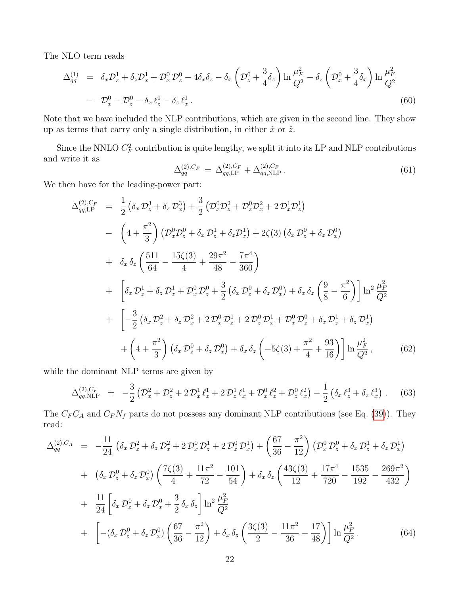The NLO term reads

<span id="page-22-0"></span>
$$
\Delta_{qq}^{(1)} = \delta_x \mathcal{D}_z^1 + \delta_z \mathcal{D}_x^1 + \mathcal{D}_x^0 \mathcal{D}_z^0 - 4\delta_x \delta_z - \delta_x \left( \mathcal{D}_z^0 + \frac{3}{4} \delta_z \right) \ln \frac{\mu_F^2}{Q^2} - \delta_z \left( \mathcal{D}_x^0 + \frac{3}{4} \delta_x \right) \ln \frac{\mu_F^2}{Q^2}
$$
  
-  $\mathcal{D}_x^0 - \mathcal{D}_z^0 - \delta_x \ell_z^1 - \delta_z \ell_x^1$ . (60)

Note that we have included the NLP contributions, which are given in the second line. They show up as terms that carry only a single distribution, in either  $\hat{x}$  or  $\hat{z}$ .

Since the NNLO  $C_F^2$  contribution is quite lengthy, we split it into its LP and NLP contributions and write it as

$$
\Delta_{qq}^{(2),C_F} = \Delta_{qq,\text{LP}}^{(2),C_F} + \Delta_{qq,\text{NLP}}^{(2),C_F}.
$$
\n(61)

We then have for the leading-power part:

<span id="page-22-1"></span>
$$
\Delta_{qq,\text{LP}}^{(2),C_F} = \frac{1}{2} \left( \delta_x \, \mathcal{D}_z^3 + \delta_z \, \mathcal{D}_x^3 \right) + \frac{3}{2} \left( \mathcal{D}_x^0 \mathcal{D}_z^2 + \mathcal{D}_z^0 \mathcal{D}_x^2 + 2 \, \mathcal{D}_x^1 \mathcal{D}_z^1 \right) \n- \left( 4 + \frac{\pi^2}{3} \right) \left( \mathcal{D}_x^0 \mathcal{D}_z^0 + \delta_x \, \mathcal{D}_z^1 + \delta_z \mathcal{D}_x^1 \right) + 2 \zeta (3) \left( \delta_x \, \mathcal{D}_z^0 + \delta_z \, \mathcal{D}_x^0 \right) \n+ \delta_x \, \delta_z \left( \frac{511}{64} - \frac{15 \zeta (3)}{4} + \frac{29 \pi^2}{48} - \frac{7 \pi^4}{360} \right) \n+ \left[ \delta_x \, \mathcal{D}_z^1 + \delta_z \, \mathcal{D}_x^1 + \mathcal{D}_x^0 \, \mathcal{D}_z^0 + \frac{3}{2} \left( \delta_x \, \mathcal{D}_z^0 + \delta_z \, \mathcal{D}_x^0 \right) + \delta_x \, \delta_z \left( \frac{9}{8} - \frac{\pi^2}{6} \right) \right] \ln^2 \frac{\mu_F^2}{Q^2} \n+ \left( - \frac{3}{2} \left( \delta_x \, \mathcal{D}_z^2 + \delta_z \, \mathcal{D}_x^2 + 2 \, \mathcal{D}_x^0 \, \mathcal{D}_z^1 + 2 \, \mathcal{D}_z^0 \, \mathcal{D}_x^1 + \mathcal{D}_x^0 \, \mathcal{D}_z^0 + \delta_x \, \mathcal{D}_z^1 + \delta_z \, \mathcal{D}_x^1 \right) \n+ \left( 4 + \frac{\pi^2}{3} \right) \left( \delta_x \, \mathcal{D}_z^0 + \delta_z \, \mathcal{D}_x^0 \right) + \delta_x \, \delta_z \left( -5 \zeta (3) + \frac{\pi^2}{4} + \frac{93}{16} \right) \left[ \ln \frac{\mu_F^2}{Q^2},
$$
\n(62)

while the dominant NLP terms are given by

$$
\Delta_{qq,\text{NLP}}^{(2),C_F} = -\frac{3}{2} \left( \mathcal{D}_x^2 + \mathcal{D}_z^2 + 2 \mathcal{D}_x^1 \ell_z^1 + 2 \mathcal{D}_z^1 \ell_x^1 + \mathcal{D}_x^0 \ell_z^2 + \mathcal{D}_z^0 \ell_x^2 \right) - \frac{1}{2} \left( \delta_x \ell_z^3 + \delta_z \ell_x^3 \right) . \tag{63}
$$

The  $C_F C_A$  and  $C_F N_f$  parts do not possess any dominant NLP contributions (see Eq. [\(39\)](#page-13-0)). They read:

<span id="page-22-2"></span>
$$
\Delta_{qq}^{(2),C_A} = -\frac{11}{24} \left( \delta_x \mathcal{D}_z^2 + \delta_z \mathcal{D}_x^2 + 2 \mathcal{D}_x^0 \mathcal{D}_z^1 + 2 \mathcal{D}_z^0 \mathcal{D}_x^1 \right) + \left( \frac{67}{36} - \frac{\pi^2}{12} \right) \left( \mathcal{D}_x^0 \mathcal{D}_z^0 + \delta_x \mathcal{D}_z^1 + \delta_z \mathcal{D}_x^1 \right) + \left( \delta_x \mathcal{D}_z^0 + \delta_z \mathcal{D}_x^0 \right) \left( \frac{7\zeta(3)}{4} + \frac{11\pi^2}{72} - \frac{101}{54} \right) + \delta_x \delta_z \left( \frac{43\zeta(3)}{12} + \frac{17\pi^4}{720} - \frac{1535}{192} - \frac{269\pi^2}{432} \right) + \frac{11}{24} \left[ \delta_x \mathcal{D}_z^0 + \delta_z \mathcal{D}_x^0 + \frac{3}{2} \delta_x \delta_z \right] \ln^2 \frac{\mu_F^2}{Q^2} + \left[ -(\delta_x \mathcal{D}_z^0 + \delta_z \mathcal{D}_x^0) \left( \frac{67}{36} - \frac{\pi^2}{12} \right) + \delta_x \delta_z \left( \frac{3\zeta(3)}{2} - \frac{11\pi^2}{36} - \frac{17}{48} \right) \right] \ln \frac{\mu_F^2}{Q^2}.
$$
 (64)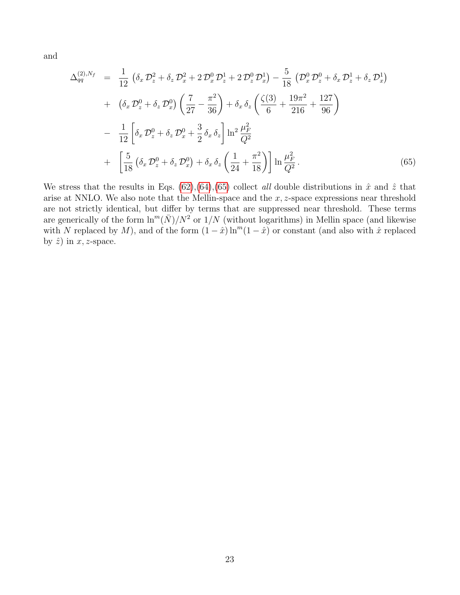and

<span id="page-23-0"></span>
$$
\Delta_{qq}^{(2),N_f} = \frac{1}{12} \left( \delta_x \mathcal{D}_z^2 + \delta_z \mathcal{D}_x^2 + 2 \mathcal{D}_x^0 \mathcal{D}_z^1 + 2 \mathcal{D}_z^0 \mathcal{D}_x^1 \right) - \frac{5}{18} \left( \mathcal{D}_x^0 \mathcal{D}_z^0 + \delta_x \mathcal{D}_z^1 + \delta_z \mathcal{D}_x^1 \right) + \left( \delta_x \mathcal{D}_z^0 + \delta_z \mathcal{D}_x^0 \right) \left( \frac{7}{27} - \frac{\pi^2}{36} \right) + \delta_x \delta_z \left( \frac{\zeta(3)}{6} + \frac{19\pi^2}{216} + \frac{127}{96} \right) - \frac{1}{12} \left[ \delta_x \mathcal{D}_z^0 + \delta_z \mathcal{D}_x^0 + \frac{3}{2} \delta_x \delta_z \right] \ln^2 \frac{\mu_F^2}{Q^2} + \left[ \frac{5}{18} \left( \delta_x \mathcal{D}_z^0 + \delta_z \mathcal{D}_x^0 \right) + \delta_x \delta_z \left( \frac{1}{24} + \frac{\pi^2}{18} \right) \right] \ln \frac{\mu_F^2}{Q^2}.
$$
 (65)

We stress that the results in Eqs. [\(62\)](#page-22-1),[\(64\)](#page-22-2),[\(65\)](#page-23-0) collect all double distributions in  $\hat{x}$  and  $\hat{z}$  that arise at NNLO. We also note that the Mellin-space and the  $x, z$ -space expressions near threshold are not strictly identical, but differ by terms that are suppressed near threshold. These terms are generically of the form  $\ln^{m}(\bar{N})/N^{2}$  or  $1/N$  (without logarithms) in Mellin space (and likewise with N replaced by M), and of the form  $(1 - \hat{x}) \ln^{m}(1 - \hat{x})$  or constant (and also with  $\hat{x}$  replaced by  $\hat{z}$ ) in  $x, z$ -space.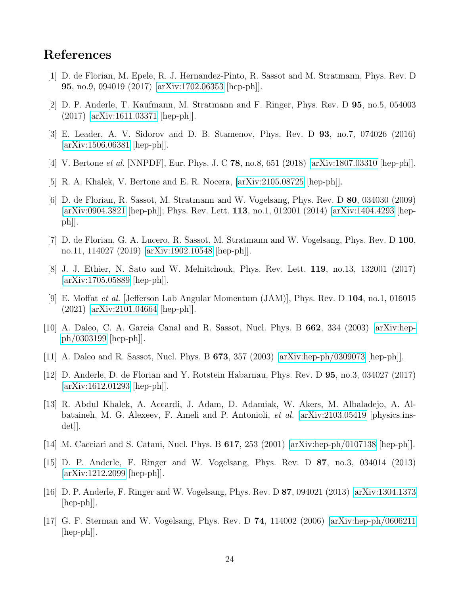### References

- <span id="page-24-0"></span>[1] D. de Florian, M. Epele, R. J. Hernandez-Pinto, R. Sassot and M. Stratmann, Phys. Rev. D 95, no.9, 094019 (2017) [\[arXiv:1702.06353](http://arxiv.org/abs/1702.06353) [hep-ph]].
- <span id="page-24-13"></span>[2] D. P. Anderle, T. Kaufmann, M. Stratmann and F. Ringer, Phys. Rev. D 95, no.5, 054003 (2017) [\[arXiv:1611.03371](http://arxiv.org/abs/1611.03371) [hep-ph]].
- [3] E. Leader, A. V. Sidorov and D. B. Stamenov, Phys. Rev. D 93, no.7, 074026 (2016) [\[arXiv:1506.06381](http://arxiv.org/abs/1506.06381) [hep-ph]].
- [4] V. Bertone et al. [NNPDF], Eur. Phys. J. C 78, no.8, 651 (2018) [\[arXiv:1807.03310](http://arxiv.org/abs/1807.03310) [hep-ph]].
- <span id="page-24-1"></span>[5] R. A. Khalek, V. Bertone and E. R. Nocera, [\[arXiv:2105.08725](http://arxiv.org/abs/2105.08725) [hep-ph]].
- <span id="page-24-2"></span>[6] D. de Florian, R. Sassot, M. Stratmann and W. Vogelsang, Phys. Rev. D 80, 034030 (2009) [\[arXiv:0904.3821](http://arxiv.org/abs/0904.3821) [hep-ph]]; Phys. Rev. Lett. 113, no.1, 012001 (2014) [\[arXiv:1404.4293](http://arxiv.org/abs/1404.4293) [hepph]].
- <span id="page-24-3"></span>[7] D. de Florian, G. A. Lucero, R. Sassot, M. Stratmann and W. Vogelsang, Phys. Rev. D 100, no.11, 114027 (2019) [\[arXiv:1902.10548](http://arxiv.org/abs/1902.10548) [hep-ph]].
- <span id="page-24-4"></span>[8] J. J. Ethier, N. Sato and W. Melnitchouk, Phys. Rev. Lett. 119, no.13, 132001 (2017) [\[arXiv:1705.05889](http://arxiv.org/abs/1705.05889) [hep-ph]].
- <span id="page-24-5"></span>[9] E. Moffat et al. [Jefferson Lab Angular Momentum (JAM)], Phys. Rev. D 104, no.1, 016015 (2021) [\[arXiv:2101.04664](http://arxiv.org/abs/2101.04664) [hep-ph]].
- <span id="page-24-6"></span>[10] A. Daleo, C. A. Garcia Canal and R. Sassot, Nucl. Phys. B 662, 334 (2003) [\[arXiv:hep](http://arxiv.org/abs/hep-ph/0303199)[ph/0303199](http://arxiv.org/abs/hep-ph/0303199) [hep-ph]].
- [11] A. Daleo and R. Sassot, Nucl. Phys. B 673, 357 (2003) [\[arXiv:hep-ph/0309073](http://arxiv.org/abs/hep-ph/0309073) [hep-ph]].
- <span id="page-24-7"></span>[12] D. Anderle, D. de Florian and Y. Rotstein Habarnau, Phys. Rev. D 95, no.3, 034027 (2017) [\[arXiv:1612.01293](http://arxiv.org/abs/1612.01293) [hep-ph]].
- <span id="page-24-8"></span>[13] R. Abdul Khalek, A. Accardi, J. Adam, D. Adamiak, W. Akers, M. Albaladejo, A. Albataineh, M. G. Alexeev, F. Ameli and P. Antonioli, et al. [\[arXiv:2103.05419](http://arxiv.org/abs/2103.05419) [physics.ins $det||.$
- <span id="page-24-9"></span>[14] M. Cacciari and S. Catani, Nucl. Phys. B  $617$ ,  $253$  (2001) [\[arXiv:hep-ph/0107138](http://arxiv.org/abs/hep-ph/0107138) [hep-ph]].
- <span id="page-24-11"></span>[15] D. P. Anderle, F. Ringer and W. Vogelsang, Phys. Rev. D 87, no.3, 034014 (2013) [\[arXiv:1212.2099](http://arxiv.org/abs/1212.2099) [hep-ph]].
- <span id="page-24-12"></span>[16] D. P. Anderle, F. Ringer and W. Vogelsang, Phys. Rev. D 87, 094021 (2013) [\[arXiv:1304.1373](http://arxiv.org/abs/1304.1373) [hep-ph]].
- <span id="page-24-10"></span>[17] G. F. Sterman and W. Vogelsang, Phys. Rev. D 74, 114002 (2006) [\[arXiv:hep-ph/0606211](http://arxiv.org/abs/hep-ph/0606211) [hep-ph]].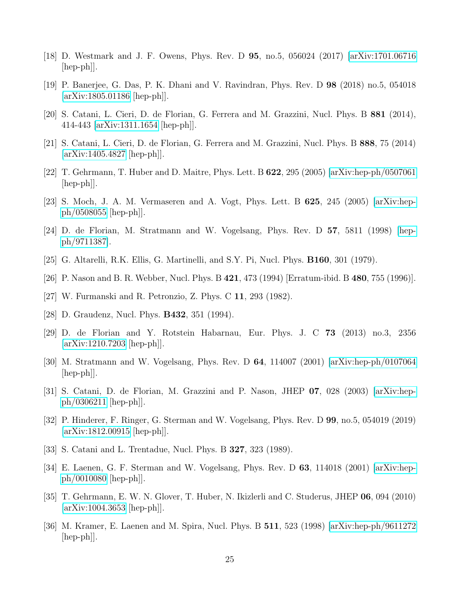- <span id="page-25-0"></span>[18] D. Westmark and J. F. Owens, Phys. Rev. D 95, no.5, 056024 (2017) [\[arXiv:1701.06716](http://arxiv.org/abs/1701.06716) [hep-ph]].
- <span id="page-25-1"></span>[19] P. Banerjee, G. Das, P. K. Dhani and V. Ravindran, Phys. Rev. D 98 (2018) no.5, 054018 [\[arXiv:1805.01186](http://arxiv.org/abs/1805.01186) [hep-ph]].
- <span id="page-25-2"></span>[20] S. Catani, L. Cieri, D. de Florian, G. Ferrera and M. Grazzini, Nucl. Phys. B 881 (2014), 414-443 [\[arXiv:1311.1654](http://arxiv.org/abs/1311.1654) [hep-ph]].
- <span id="page-25-13"></span>[21] S. Catani, L. Cieri, D. de Florian, G. Ferrera and M. Grazzini, Nucl. Phys. B 888, 75 (2014)  $\arXiv:1405.4827$  [hep-ph].
- <span id="page-25-11"></span>[22] T. Gehrmann, T. Huber and D. Maitre, Phys. Lett. B 622, 295 (2005) [\[arXiv:hep-ph/0507061](http://arxiv.org/abs/hep-ph/0507061) [hep-ph]].
- <span id="page-25-3"></span>[23] S. Moch, J. A. M. Vermaseren and A. Vogt, Phys. Lett. B 625, 245 (2005) [\[arXiv:hep](http://arxiv.org/abs/hep-ph/0508055)[ph/0508055](http://arxiv.org/abs/hep-ph/0508055) [hep-ph]].
- <span id="page-25-4"></span>[24] D. de Florian, M. Stratmann and W. Vogelsang, Phys. Rev. D 57, 5811 (1998) [\[hep](http://arxiv.org/abs/hep-ph/9711387)[ph/9711387\]](http://arxiv.org/abs/hep-ph/9711387).
- [25] G. Altarelli, R.K. Ellis, G. Martinelli, and S.Y. Pi, Nucl. Phys. B160, 301 (1979).
- [26] P. Nason and B. R. Webber, Nucl. Phys. B 421, 473 (1994) [Erratum-ibid. B 480, 755 (1996)].
- <span id="page-25-15"></span>[27] W. Furmanski and R. Petronzio, Z. Phys. C 11, 293 (1982).
- [28] D. Graudenz, Nucl. Phys. **B432**, 351 (1994).
- <span id="page-25-5"></span>[29] D. de Florian and Y. Rotstein Habarnau, Eur. Phys. J. C 73 (2013) no.3, 2356 [\[arXiv:1210.7203](http://arxiv.org/abs/1210.7203) [hep-ph]].
- <span id="page-25-6"></span>[30] M. Stratmann and W. Vogelsang, Phys. Rev. D 64, 114007 (2001) [\[arXiv:hep-ph/0107064](http://arxiv.org/abs/hep-ph/0107064)  $\vert \text{hep-ph} \vert$ .
- <span id="page-25-7"></span>[31] S. Catani, D. de Florian, M. Grazzini and P. Nason, JHEP 07, 028 (2003) [\[arXiv:hep](http://arxiv.org/abs/hep-ph/0306211)[ph/0306211](http://arxiv.org/abs/hep-ph/0306211) [hep-ph]].
- <span id="page-25-8"></span>[32] P. Hinderer, F. Ringer, G. Sterman and W. Vogelsang, Phys. Rev. D 99, no.5, 054019 (2019) [\[arXiv:1812.00915](http://arxiv.org/abs/1812.00915) [hep-ph]].
- <span id="page-25-9"></span>[33] S. Catani and L. Trentadue, Nucl. Phys. B 327, 323 (1989).
- <span id="page-25-10"></span>[34] E. Laenen, G. F. Sterman and W. Vogelsang, Phys. Rev. D 63, 114018 (2001) [\[arXiv:hep](http://arxiv.org/abs/hep-ph/0010080)[ph/0010080](http://arxiv.org/abs/hep-ph/0010080) [hep-ph]].
- <span id="page-25-12"></span>[35] T. Gehrmann, E. W. N. Glover, T. Huber, N. Ikizlerli and C. Studerus, JHEP 06, 094 (2010) [\[arXiv:1004.3653](http://arxiv.org/abs/1004.3653) [hep-ph]].
- <span id="page-25-14"></span>[36] M. Kramer, E. Laenen and M. Spira, Nucl. Phys. B 511, 523 (1998) [\[arXiv:hep-ph/9611272](http://arxiv.org/abs/hep-ph/9611272) [hep-ph]].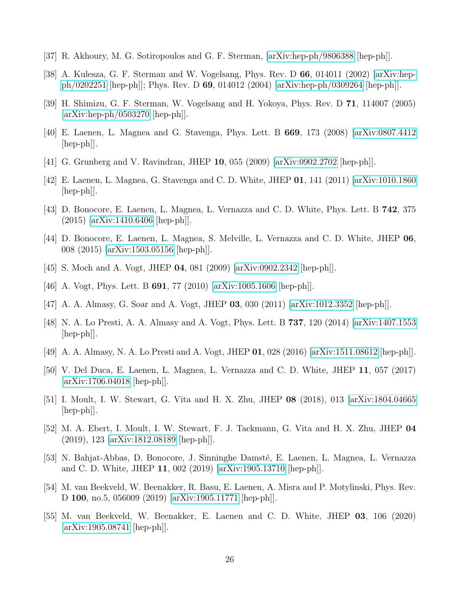- [37] R. Akhoury, M. G. Sotiropoulos and G. F. Sterman, [\[arXiv:hep-ph/9806388](http://arxiv.org/abs/hep-ph/9806388) [hep-ph]].
- <span id="page-26-2"></span>[38] A. Kulesza, G. F. Sterman and W. Vogelsang, Phys. Rev. D 66, 014011 (2002) [\[arXiv:hep](http://arxiv.org/abs/hep-ph/0202251)[ph/0202251](http://arxiv.org/abs/hep-ph/0202251) [hep-ph]]; Phys. Rev. D 69, 014012 (2004) [\[arXiv:hep-ph/0309264](http://arxiv.org/abs/hep-ph/0309264) [hep-ph]].
- <span id="page-26-0"></span>[39] H. Shimizu, G. F. Sterman, W. Vogelsang and H. Yokoya, Phys. Rev. D 71, 114007 (2005) [\[arXiv:hep-ph/0503270](http://arxiv.org/abs/hep-ph/0503270) [hep-ph]].
- <span id="page-26-1"></span>[40] E. Laenen, L. Magnea and G. Stavenga, Phys. Lett. B 669, 173 (2008) [\[arXiv:0807.4412](http://arxiv.org/abs/0807.4412) [hep-ph]].
- [41] G. Grunberg and V. Ravindran, JHEP 10, 055 (2009) [\[arXiv:0902.2702](http://arxiv.org/abs/0902.2702) [hep-ph]].
- [42] E. Laenen, L. Magnea, G. Stavenga and C. D. White, JHEP 01, 141 (2011) [\[arXiv:1010.1860](http://arxiv.org/abs/1010.1860)  $\vert \text{hep-ph} \vert$ .
- [43] D. Bonocore, E. Laenen, L. Magnea, L. Vernazza and C. D. White, Phys. Lett. B 742, 375 (2015) [\[arXiv:1410.6406](http://arxiv.org/abs/1410.6406) [hep-ph]].
- [44] D. Bonocore, E. Laenen, L. Magnea, S. Melville, L. Vernazza and C. D. White, JHEP 06, 008 (2015) [\[arXiv:1503.05156](http://arxiv.org/abs/1503.05156) [hep-ph]].
- <span id="page-26-5"></span>[45] S. Moch and A. Vogt, JHEP 04, 081 (2009) [\[arXiv:0902.2342](http://arxiv.org/abs/0902.2342) [hep-ph]].
- [46] A. Vogt, Phys. Lett. B **691**, 77 (2010) [\[arXiv:1005.1606](http://arxiv.org/abs/1005.1606) [hep-ph]].
- [47] A. A. Almasy, G. Soar and A. Vogt, JHEP 03, 030 (2011) [\[arXiv:1012.3352](http://arxiv.org/abs/1012.3352) [hep-ph]].
- <span id="page-26-4"></span>[48] N. A. Lo Presti, A. A. Almasy and A. Vogt, Phys. Lett. B 737, 120 (2014) [\[arXiv:1407.1553](http://arxiv.org/abs/1407.1553) [hep-ph]].
- [49] A. A. Almasy, N. A. Lo Presti and A. Vogt, JHEP 01, 028 (2016) [\[arXiv:1511.08612](http://arxiv.org/abs/1511.08612) [hep-ph]].
- [50] V. Del Duca, E. Laenen, L. Magnea, L. Vernazza and C. D. White, JHEP 11, 057 (2017) [\[arXiv:1706.04018](http://arxiv.org/abs/1706.04018) [hep-ph]].
- [51] I. Moult, I. W. Stewart, G. Vita and H. X. Zhu, JHEP 08 (2018), 013 [\[arXiv:1804.04665](http://arxiv.org/abs/1804.04665) [hep-ph]].
- [52] M. A. Ebert, I. Moult, I. W. Stewart, F. J. Tackmann, G. Vita and H. X. Zhu, JHEP 04 (2019), 123 [\[arXiv:1812.08189](http://arxiv.org/abs/1812.08189) [hep-ph]].
- [53] N. Bahjat-Abbas, D. Bonocore, J. Sinninghe Damsté, E. Laenen, L. Magnea, L. Vernazza and C. D. White, JHEP 11, 002 (2019) [\[arXiv:1905.13710](http://arxiv.org/abs/1905.13710) [hep-ph]].
- <span id="page-26-3"></span>[54] M. van Beekveld, W. Beenakker, R. Basu, E. Laenen, A. Misra and P. Motylinski, Phys. Rev. D 100, no.5, 056009 (2019) [\[arXiv:1905.11771](http://arxiv.org/abs/1905.11771) [hep-ph]].
- [55] M. van Beekveld, W. Beenakker, E. Laenen and C. D. White, JHEP 03, 106 (2020) [\[arXiv:1905.08741](http://arxiv.org/abs/1905.08741) [hep-ph]].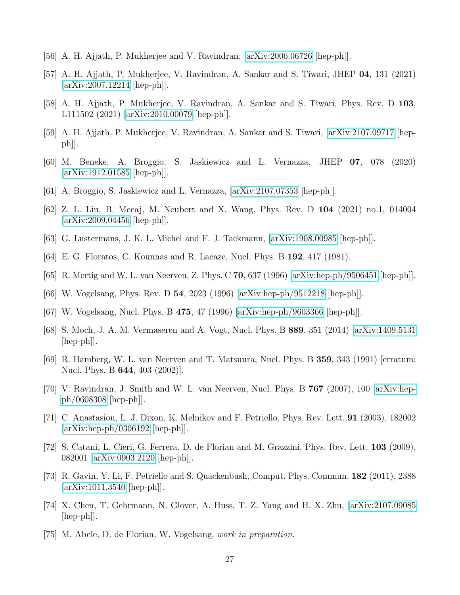- [56] A. H. Ajjath, P. Mukherjee and V. Ravindran, [\[arXiv:2006.06726](http://arxiv.org/abs/2006.06726) [hep-ph]].
- [57] A. H. Ajjath, P. Mukherjee, V. Ravindran, A. Sankar and S. Tiwari, JHEP 04, 131 (2021) [\[arXiv:2007.12214](http://arxiv.org/abs/2007.12214) [hep-ph]].
- <span id="page-27-1"></span>[58] A. H. Ajjath, P. Mukherjee, V. Ravindran, A. Sankar and S. Tiwari, Phys. Rev. D 103, L111502 (2021) [\[arXiv:2010.00079](http://arxiv.org/abs/2010.00079) [hep-ph]].
- [59] A. H. Ajjath, P. Mukherjee, V. Ravindran, A. Sankar and S. Tiwari, [\[arXiv:2107.09717](http://arxiv.org/abs/2107.09717) [hep $ph$ .
- [60] M. Beneke, A. Broggio, S. Jaskiewicz and L. Vernazza, JHEP 07, 078 (2020) [\[arXiv:1912.01585](http://arxiv.org/abs/1912.01585) [hep-ph]].
- [61] A. Broggio, S. Jaskiewicz and L. Vernazza, [\[arXiv:2107.07353](http://arxiv.org/abs/2107.07353) [hep-ph]].
- [62] Z. L. Liu, B. Mecaj, M. Neubert and X. Wang, Phys. Rev. D 104 (2021) no.1, 014004 [\[arXiv:2009.04456](http://arxiv.org/abs/2009.04456) [hep-ph]].
- <span id="page-27-0"></span>[63] G. Lustermans, J. K. L. Michel and F. J. Tackmann, [\[arXiv:1908.00985](http://arxiv.org/abs/1908.00985) [hep-ph]].
- <span id="page-27-2"></span>[64] E. G. Floratos, C. Kounnas and R. Lacaze, Nucl. Phys. B 192, 417 (1981).
- <span id="page-27-3"></span> $[65]$  R. Mertig and W. L. van Neerven, Z. Phys. C 70, 637 (1996)  $\arXiv:hep-ph/9506451$  [hep-ph].
- [66] W. Vogelsang, Phys. Rev. D 54, 2023 (1996) [\[arXiv:hep-ph/9512218](http://arxiv.org/abs/hep-ph/9512218) [hep-ph]].
- <span id="page-27-4"></span>[67] W. Vogelsang, Nucl. Phys. B 475, 47 (1996) [\[arXiv:hep-ph/9603366](http://arxiv.org/abs/hep-ph/9603366) [hep-ph]].
- <span id="page-27-5"></span>[68] S. Moch, J. A. M. Vermaseren and A. Vogt, Nucl. Phys. B 889, 351 (2014) [\[arXiv:1409.5131](http://arxiv.org/abs/1409.5131) [hep-ph]].
- <span id="page-27-6"></span>[69] R. Hamberg, W. L. van Neerven and T. Matsuura, Nucl. Phys. B 359, 343 (1991) [erratum: Nucl. Phys. B 644, 403 (2002)].
- [70] V. Ravindran, J. Smith and W. L. van Neerven, Nucl. Phys. B 767 (2007), 100 [\[arXiv:hep](http://arxiv.org/abs/hep-ph/0608308)[ph/0608308](http://arxiv.org/abs/hep-ph/0608308) [hep-ph]].
- [71] C. Anastasiou, L. J. Dixon, K. Melnikov and F. Petriello, Phys. Rev. Lett. 91 (2003), 182002 [\[arXiv:hep-ph/0306192](http://arxiv.org/abs/hep-ph/0306192) [hep-ph]].
- [72] S. Catani, L. Cieri, G. Ferrera, D. de Florian and M. Grazzini, Phys. Rev. Lett. 103 (2009), 082001 [\[arXiv:0903.2120](http://arxiv.org/abs/0903.2120) [hep-ph]].
- [73] R. Gavin, Y. Li, F. Petriello and S. Quackenbush, Comput. Phys. Commun. 182 (2011), 2388 [\[arXiv:1011.3540](http://arxiv.org/abs/1011.3540) [hep-ph]].
- <span id="page-27-7"></span>[74] X. Chen, T. Gehrmann, N. Glover, A. Huss, T. Z. Yang and H. X. Zhu, [\[arXiv:2107.09085](http://arxiv.org/abs/2107.09085) [hep-ph]].
- <span id="page-27-8"></span>[75] M. Abele, D. de Florian, W. Vogelsang, work in preparation.